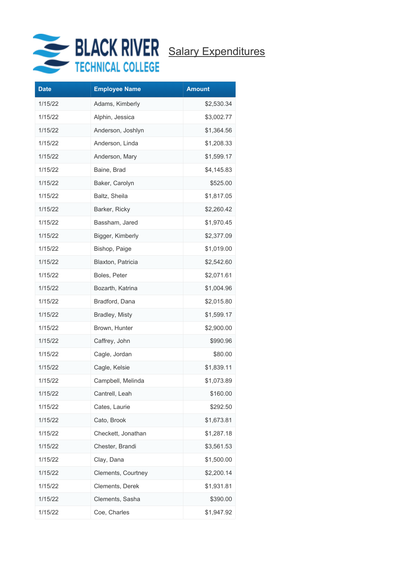

| <b>Date</b> | <b>Employee Name</b> | <b>Amount</b> |
|-------------|----------------------|---------------|
| 1/15/22     | Adams, Kimberly      | \$2,530.34    |
| 1/15/22     | Alphin, Jessica      | \$3,002.77    |
| 1/15/22     | Anderson, Joshlyn    | \$1,364.56    |
| 1/15/22     | Anderson, Linda      | \$1,208.33    |
| 1/15/22     | Anderson, Mary       | \$1,599.17    |
| 1/15/22     | Baine, Brad          | \$4,145.83    |
| 1/15/22     | Baker, Carolyn       | \$525.00      |
| 1/15/22     | Baltz, Sheila        | \$1,817.05    |
| 1/15/22     | Barker, Ricky        | \$2,260.42    |
| 1/15/22     | Bassham, Jared       | \$1,970.45    |
| 1/15/22     | Bigger, Kimberly     | \$2,377.09    |
| 1/15/22     | Bishop, Paige        | \$1,019.00    |
| 1/15/22     | Blaxton, Patricia    | \$2,542.60    |
| 1/15/22     | Boles, Peter         | \$2,071.61    |
| 1/15/22     | Bozarth, Katrina     | \$1,004.96    |
| 1/15/22     | Bradford, Dana       | \$2,015.80    |
| 1/15/22     | Bradley, Misty       | \$1,599.17    |
| 1/15/22     | Brown, Hunter        | \$2,900.00    |
| 1/15/22     | Caffrey, John        | \$990.96      |
| 1/15/22     | Cagle, Jordan        | \$80.00       |
| 1/15/22     | Cagle, Kelsie        | \$1,839.11    |
| 1/15/22     | Campbell, Melinda    | \$1,073.89    |
| 1/15/22     | Cantrell, Leah       | \$160.00      |
| 1/15/22     | Cates, Laurie        | \$292.50      |
| 1/15/22     | Cato, Brook          | \$1,673.81    |
| 1/15/22     | Checkett, Jonathan   | \$1,287.18    |
| 1/15/22     | Chester, Brandi      | \$3,561.53    |
| 1/15/22     | Clay, Dana           | \$1,500.00    |
| 1/15/22     | Clements, Courtney   | \$2,200.14    |
| 1/15/22     | Clements, Derek      | \$1,931.81    |
| 1/15/22     | Clements, Sasha      | \$390.00      |
| 1/15/22     | Coe, Charles         | \$1,947.92    |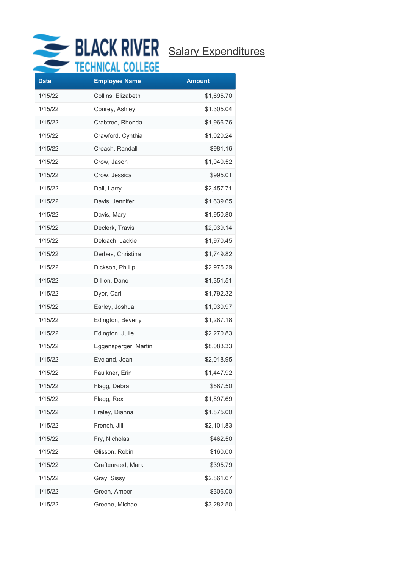

|             | VIIIIVIN VVI         |               |
|-------------|----------------------|---------------|
| <b>Date</b> | <b>Employee Name</b> | <b>Amount</b> |
| 1/15/22     | Collins, Elizabeth   | \$1,695.70    |
| 1/15/22     | Conrey, Ashley       | \$1,305.04    |
| 1/15/22     | Crabtree, Rhonda     | \$1,966.76    |
| 1/15/22     | Crawford, Cynthia    | \$1,020.24    |
| 1/15/22     | Creach, Randall      | \$981.16      |
| 1/15/22     | Crow, Jason          | \$1,040.52    |
| 1/15/22     | Crow, Jessica        | \$995.01      |
| 1/15/22     | Dail, Larry          | \$2,457.71    |
| 1/15/22     | Davis, Jennifer      | \$1,639.65    |
| 1/15/22     | Davis, Mary          | \$1,950.80    |
| 1/15/22     | Declerk, Travis      | \$2,039.14    |
| 1/15/22     | Deloach, Jackie      | \$1,970.45    |
| 1/15/22     | Derbes, Christina    | \$1,749.82    |
| 1/15/22     | Dickson, Phillip     | \$2,975.29    |
| 1/15/22     | Dillion, Dane        | \$1,351.51    |
| 1/15/22     | Dyer, Carl           | \$1,792.32    |
| 1/15/22     | Earley, Joshua       | \$1,930.97    |
| 1/15/22     | Edington, Beverly    | \$1,287.18    |
| 1/15/22     | Edington, Julie      | \$2,270.83    |
| 1/15/22     | Eggensperger, Martin | \$8,083.33    |
| 1/15/22     | Eveland, Joan        | \$2,018.95    |
| 1/15/22     | Faulkner, Erin       | \$1,447.92    |
| 1/15/22     | Flagg, Debra         | \$587.50      |
| 1/15/22     | Flagg, Rex           | \$1,897.69    |
| 1/15/22     | Fraley, Dianna       | \$1,875.00    |
| 1/15/22     | French, Jill         | \$2,101.83    |
| 1/15/22     | Fry, Nicholas        | \$462.50      |
| 1/15/22     | Glisson, Robin       | \$160.00      |
| 1/15/22     | Graftenreed, Mark    | \$395.79      |
| 1/15/22     | Gray, Sissy          | \$2,861.67    |
| 1/15/22     | Green, Amber         | \$306.00      |
| 1/15/22     | Greene, Michael      | \$3,282.50    |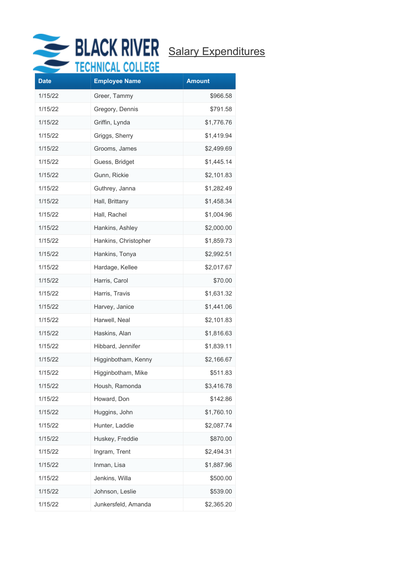

## BLACK RIVER Salary Expenditures

| <b>Date</b> | .<br><b>Employee Name</b> | <b>Amount</b> |
|-------------|---------------------------|---------------|
| 1/15/22     | Greer, Tammy              | \$966.58      |
| 1/15/22     | Gregory, Dennis           | \$791.58      |
| 1/15/22     | Griffin, Lynda            | \$1,776.76    |
| 1/15/22     | Griggs, Sherry            | \$1,419.94    |
| 1/15/22     | Grooms, James             | \$2,499.69    |
| 1/15/22     | Guess, Bridget            | \$1,445.14    |
| 1/15/22     | Gunn, Rickie              | \$2,101.83    |
| 1/15/22     | Guthrey, Janna            | \$1,282.49    |
| 1/15/22     | Hall, Brittany            | \$1,458.34    |
| 1/15/22     | Hall, Rachel              | \$1,004.96    |
| 1/15/22     | Hankins, Ashley           | \$2,000.00    |
| 1/15/22     | Hankins, Christopher      | \$1,859.73    |
| 1/15/22     | Hankins, Tonya            | \$2,992.51    |
| 1/15/22     | Hardage, Kellee           | \$2,017.67    |
| 1/15/22     | Harris, Carol             | \$70.00       |
| 1/15/22     | Harris, Travis            | \$1,631.32    |
| 1/15/22     | Harvey, Janice            | \$1,441.06    |
| 1/15/22     | Harwell, Neal             | \$2,101.83    |
| 1/15/22     | Haskins, Alan             | \$1,816.63    |
| 1/15/22     | Hibbard, Jennifer         | \$1,839.11    |
| 1/15/22     | Higginbotham, Kenny       | \$2,166.67    |
| 1/15/22     | Higginbotham, Mike        | \$511.83      |
| 1/15/22     | Housh, Ramonda            | \$3,416.78    |
| 1/15/22     | Howard, Don               | \$142.86      |
| 1/15/22     | Huggins, John             | \$1,760.10    |
| 1/15/22     | Hunter, Laddie            | \$2,087.74    |
| 1/15/22     | Huskey, Freddie           | \$870.00      |
| 1/15/22     | Ingram, Trent             | \$2,494.31    |
| 1/15/22     | Inman, Lisa               | \$1,887.96    |
| 1/15/22     | Jenkins, Willa            | \$500.00      |
| 1/15/22     | Johnson, Leslie           | \$539.00      |
| 1/15/22     | Junkersfeld, Amanda       | \$2,365.20    |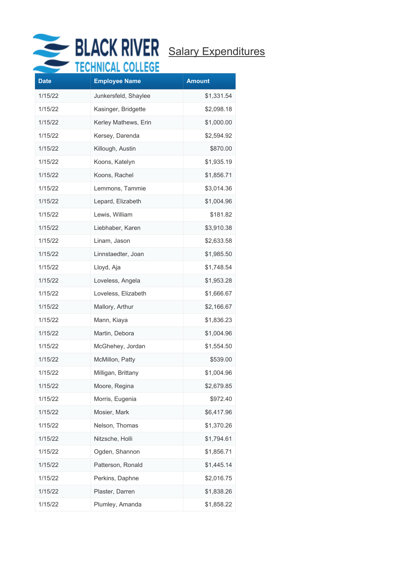

|             | EALIHAWE AAPPAA      |               |
|-------------|----------------------|---------------|
| <b>Date</b> | <b>Employee Name</b> | <b>Amount</b> |
| 1/15/22     | Junkersfeld, Shaylee | \$1,331.54    |
| 1/15/22     | Kasinger, Bridgette  | \$2,098.18    |
| 1/15/22     | Kerley Mathews, Erin | \$1,000.00    |
| 1/15/22     | Kersey, Darenda      | \$2,594.92    |
| 1/15/22     | Killough, Austin     | \$870.00      |
| 1/15/22     | Koons, Katelyn       | \$1,935.19    |
| 1/15/22     | Koons, Rachel        | \$1,856.71    |
| 1/15/22     | Lemmons, Tammie      | \$3,014.36    |
| 1/15/22     | Lepard, Elizabeth    | \$1,004.96    |
| 1/15/22     | Lewis, William       | \$181.82      |
| 1/15/22     | Liebhaber, Karen     | \$3,910.38    |
| 1/15/22     | Linam, Jason         | \$2,633.58    |
| 1/15/22     | Linnstaedter, Joan   | \$1,985.50    |
| 1/15/22     | Lloyd, Aja           | \$1,748.54    |
| 1/15/22     | Loveless, Angela     | \$1,953.28    |
| 1/15/22     | Loveless, Elizabeth  | \$1,666.67    |
| 1/15/22     | Mallory, Arthur      | \$2,166.67    |
| 1/15/22     | Mann, Kiaya          | \$1,836.23    |
| 1/15/22     | Martin, Debora       | \$1,004.96    |
| 1/15/22     | McGhehey, Jordan     | \$1,554.50    |
| 1/15/22     | McMillon, Patty      | \$539.00      |
| 1/15/22     | Milligan, Brittany   | \$1,004.96    |
| 1/15/22     | Moore, Regina        | \$2,679.85    |
| 1/15/22     | Morris, Eugenia      | \$972.40      |
| 1/15/22     | Mosier, Mark         | \$6,417.96    |
| 1/15/22     | Nelson, Thomas       | \$1,370.26    |
| 1/15/22     | Nitzsche, Holli      | \$1,794.61    |
| 1/15/22     | Ogden, Shannon       | \$1,856.71    |
| 1/15/22     | Patterson, Ronald    | \$1,445.14    |
| 1/15/22     | Perkins, Daphne      | \$2,016.75    |
| 1/15/22     | Plaster, Darren      | \$1,838.26    |
| 1/15/22     | Plumley, Amanda      | \$1,858.22    |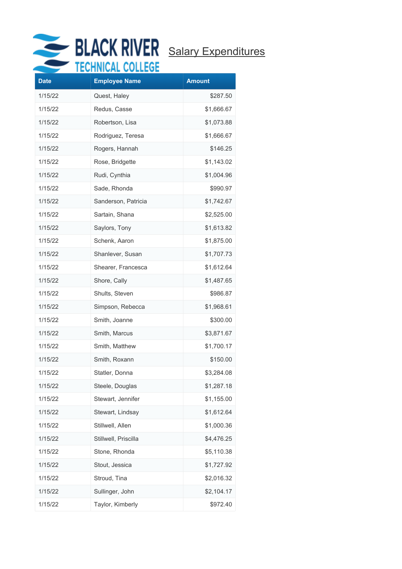

# BLACK RIVER Salary Expenditures

| <b>Date</b> | .<br><b>Employee Name</b> | <b>Amount</b> |
|-------------|---------------------------|---------------|
| 1/15/22     | Quest, Haley              | \$287.50      |
| 1/15/22     | Redus, Casse              | \$1,666.67    |
| 1/15/22     | Robertson, Lisa           | \$1,073.88    |
| 1/15/22     | Rodriguez, Teresa         | \$1,666.67    |
| 1/15/22     | Rogers, Hannah            | \$146.25      |
| 1/15/22     | Rose, Bridgette           | \$1,143.02    |
| 1/15/22     | Rudi, Cynthia             | \$1,004.96    |
| 1/15/22     | Sade, Rhonda              | \$990.97      |
| 1/15/22     | Sanderson, Patricia       | \$1,742.67    |
| 1/15/22     | Sartain, Shana            | \$2,525.00    |
| 1/15/22     | Saylors, Tony             | \$1,613.82    |
| 1/15/22     | Schenk, Aaron             | \$1,875.00    |
| 1/15/22     | Shanlever, Susan          | \$1,707.73    |
| 1/15/22     | Shearer, Francesca        | \$1,612.64    |
| 1/15/22     | Shore, Cally              | \$1,487.65    |
| 1/15/22     | Shults, Steven            | \$986.87      |
| 1/15/22     | Simpson, Rebecca          | \$1,968.61    |
| 1/15/22     | Smith, Joanne             | \$300.00      |
| 1/15/22     | Smith, Marcus             | \$3,871.67    |
| 1/15/22     | Smith, Matthew            | \$1,700.17    |
| 1/15/22     | Smith, Roxann             | \$150.00      |
| 1/15/22     | Statler, Donna            | \$3,284.08    |
| 1/15/22     | Steele, Douglas           | \$1,287.18    |
| 1/15/22     | Stewart, Jennifer         | \$1,155.00    |
| 1/15/22     | Stewart, Lindsay          | \$1,612.64    |
| 1/15/22     | Stillwell, Allen          | \$1,000.36    |
| 1/15/22     | Stillwell, Priscilla      | \$4,476.25    |
| 1/15/22     | Stone, Rhonda             | \$5,110.38    |
| 1/15/22     | Stout, Jessica            | \$1,727.92    |
| 1/15/22     | Stroud, Tina              | \$2,016.32    |
| 1/15/22     | Sullinger, John           | \$2,104.17    |
| 1/15/22     | Taylor, Kimberly          | \$972.40      |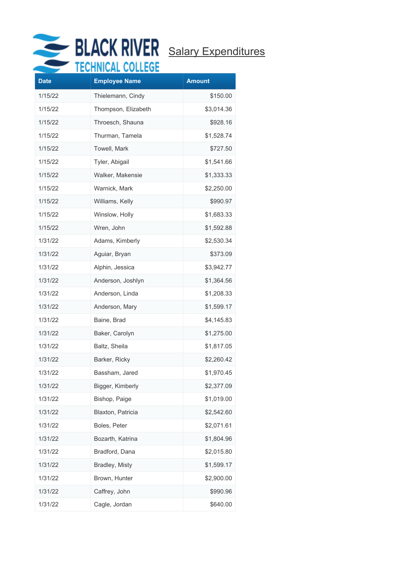

| <b>Date</b> | .<br><b>Employee Name</b> | <b>Amount</b> |
|-------------|---------------------------|---------------|
| 1/15/22     | Thielemann, Cindy         | \$150.00      |
| 1/15/22     | Thompson, Elizabeth       | \$3,014.36    |
| 1/15/22     | Throesch, Shauna          | \$928.16      |
| 1/15/22     | Thurman, Tamela           | \$1,528.74    |
| 1/15/22     | Towell, Mark              | \$727.50      |
| 1/15/22     | Tyler, Abigail            | \$1,541.66    |
| 1/15/22     | Walker, Makensie          | \$1,333.33    |
| 1/15/22     | Warnick, Mark             | \$2,250.00    |
| 1/15/22     | Williams, Kelly           | \$990.97      |
| 1/15/22     | Winslow, Holly            | \$1,683.33    |
| 1/15/22     | Wren, John                | \$1,592.88    |
| 1/31/22     | Adams, Kimberly           | \$2,530.34    |
| 1/31/22     | Aguiar, Bryan             | \$373.09      |
| 1/31/22     | Alphin, Jessica           | \$3,942.77    |
| 1/31/22     | Anderson, Joshlyn         | \$1,364.56    |
| 1/31/22     | Anderson, Linda           | \$1,208.33    |
| 1/31/22     | Anderson, Mary            | \$1,599.17    |
| 1/31/22     | Baine, Brad               | \$4,145.83    |
| 1/31/22     | Baker, Carolyn            | \$1,275.00    |
| 1/31/22     | Baltz, Sheila             | \$1,817.05    |
| 1/31/22     | Barker, Ricky             | \$2,260.42    |
| 1/31/22     | Bassham, Jared            | \$1,970.45    |
| 1/31/22     | Bigger, Kimberly          | \$2,377.09    |
| 1/31/22     | Bishop, Paige             | \$1,019.00    |
| 1/31/22     | Blaxton, Patricia         | \$2,542.60    |
| 1/31/22     | Boles, Peter              | \$2,071.61    |
| 1/31/22     | Bozarth, Katrina          | \$1,804.96    |
| 1/31/22     | Bradford, Dana            | \$2,015.80    |
| 1/31/22     | Bradley, Misty            | \$1,599.17    |
| 1/31/22     | Brown, Hunter             | \$2,900.00    |
| 1/31/22     | Caffrey, John             | \$990.96      |
| 1/31/22     | Cagle, Jordan             | \$640.00      |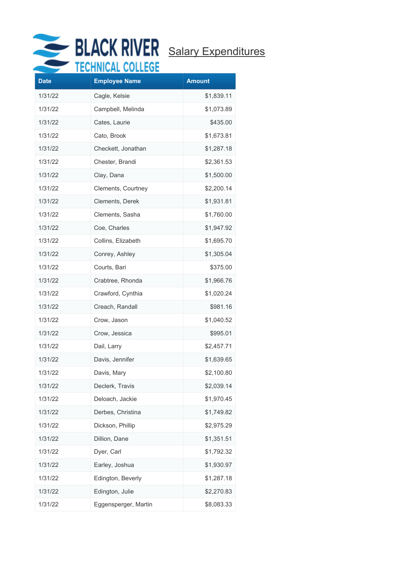

|             | EANNIANE AAPPAAR     |               |
|-------------|----------------------|---------------|
| <b>Date</b> | <b>Employee Name</b> | <b>Amount</b> |
| 1/31/22     | Cagle, Kelsie        | \$1,839.11    |
| 1/31/22     | Campbell, Melinda    | \$1,073.89    |
| 1/31/22     | Cates, Laurie        | \$435.00      |
| 1/31/22     | Cato, Brook          | \$1,673.81    |
| 1/31/22     | Checkett, Jonathan   | \$1,287.18    |
| 1/31/22     | Chester, Brandi      | \$2,361.53    |
| 1/31/22     | Clay, Dana           | \$1,500.00    |
| 1/31/22     | Clements, Courtney   | \$2,200.14    |
| 1/31/22     | Clements, Derek      | \$1,931.81    |
| 1/31/22     | Clements, Sasha      | \$1,760.00    |
| 1/31/22     | Coe, Charles         | \$1,947.92    |
| 1/31/22     | Collins, Elizabeth   | \$1,695.70    |
| 1/31/22     | Conrey, Ashley       | \$1,305.04    |
| 1/31/22     | Courts, Bari         | \$375.00      |
| 1/31/22     | Crabtree, Rhonda     | \$1,966.76    |
| 1/31/22     | Crawford, Cynthia    | \$1,020.24    |
| 1/31/22     | Creach, Randall      | \$981.16      |
| 1/31/22     | Crow, Jason          | \$1,040.52    |
| 1/31/22     | Crow, Jessica        | \$995.01      |
| 1/31/22     | Dail, Larry          | \$2,457.71    |
| 1/31/22     | Davis, Jennifer      | \$1,639.65    |
| 1/31/22     | Davis, Mary          | \$2,100.80    |
| 1/31/22     | Declerk, Travis      | \$2,039.14    |
| 1/31/22     | Deloach, Jackie      | \$1,970.45    |
| 1/31/22     | Derbes, Christina    | \$1,749.82    |
| 1/31/22     | Dickson, Phillip     | \$2,975.29    |
| 1/31/22     | Dillion, Dane        | \$1,351.51    |
| 1/31/22     | Dyer, Carl           | \$1,792.32    |
| 1/31/22     | Earley, Joshua       | \$1,930.97    |
| 1/31/22     | Edington, Beverly    | \$1,287.18    |
| 1/31/22     | Edington, Julie      | \$2,270.83    |
| 1/31/22     | Eggensperger, Martin | \$8,083.33    |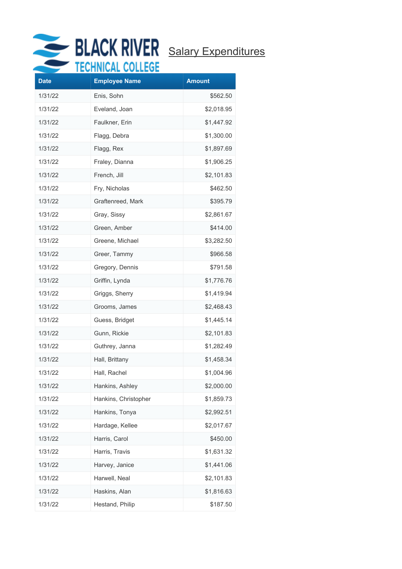

# BLACK RIVER Salary Expenditures

| <b>Date</b> | <b>Employee Name</b> | <b>Amount</b> |
|-------------|----------------------|---------------|
| 1/31/22     | Enis, Sohn           | \$562.50      |
| 1/31/22     | Eveland, Joan        | \$2,018.95    |
| 1/31/22     | Faulkner, Erin       | \$1,447.92    |
| 1/31/22     | Flagg, Debra         | \$1,300.00    |
| 1/31/22     | Flagg, Rex           | \$1,897.69    |
| 1/31/22     | Fraley, Dianna       | \$1,906.25    |
| 1/31/22     | French, Jill         | \$2,101.83    |
| 1/31/22     | Fry, Nicholas        | \$462.50      |
| 1/31/22     | Graftenreed, Mark    | \$395.79      |
| 1/31/22     | Gray, Sissy          | \$2,861.67    |
| 1/31/22     | Green, Amber         | \$414.00      |
| 1/31/22     | Greene, Michael      | \$3,282.50    |
| 1/31/22     | Greer, Tammy         | \$966.58      |
| 1/31/22     | Gregory, Dennis      | \$791.58      |
| 1/31/22     | Griffin, Lynda       | \$1,776.76    |
| 1/31/22     | Griggs, Sherry       | \$1,419.94    |
| 1/31/22     | Grooms, James        | \$2,468.43    |
| 1/31/22     | Guess, Bridget       | \$1,445.14    |
| 1/31/22     | Gunn, Rickie         | \$2,101.83    |
| 1/31/22     | Guthrey, Janna       | \$1,282.49    |
| 1/31/22     | Hall, Brittany       | \$1,458.34    |
| 1/31/22     | Hall, Rachel         | \$1,004.96    |
| 1/31/22     | Hankins, Ashley      | \$2,000.00    |
| 1/31/22     | Hankins, Christopher | \$1,859.73    |
| 1/31/22     | Hankins, Tonya       | \$2,992.51    |
| 1/31/22     | Hardage, Kellee      | \$2,017.67    |
| 1/31/22     | Harris, Carol        | \$450.00      |
| 1/31/22     | Harris, Travis       | \$1,631.32    |
| 1/31/22     | Harvey, Janice       | \$1,441.06    |
| 1/31/22     | Harwell, Neal        | \$2,101.83    |
| 1/31/22     | Haskins, Alan        | \$1,816.63    |
| 1/31/22     | Hestand, Philip      | \$187.50      |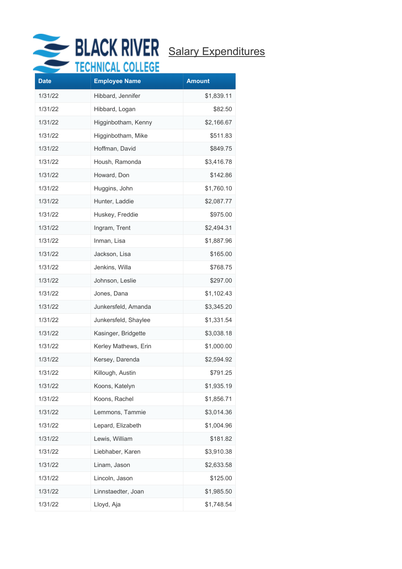

| <b>Date</b> | . <b>.</b><br><b>Employee Name</b> | <b>Amount</b> |
|-------------|------------------------------------|---------------|
| 1/31/22     | Hibbard, Jennifer                  | \$1,839.11    |
| 1/31/22     | Hibbard, Logan                     | \$82.50       |
| 1/31/22     | Higginbotham, Kenny                | \$2,166.67    |
| 1/31/22     | Higginbotham, Mike                 | \$511.83      |
| 1/31/22     | Hoffman, David                     | \$849.75      |
| 1/31/22     | Housh, Ramonda                     | \$3,416.78    |
| 1/31/22     | Howard, Don                        | \$142.86      |
| 1/31/22     | Huggins, John                      | \$1,760.10    |
| 1/31/22     | Hunter, Laddie                     | \$2,087.77    |
| 1/31/22     | Huskey, Freddie                    | \$975.00      |
| 1/31/22     | Ingram, Trent                      | \$2,494.31    |
| 1/31/22     | Inman, Lisa                        | \$1,887.96    |
| 1/31/22     | Jackson, Lisa                      | \$165.00      |
| 1/31/22     | Jenkins, Willa                     | \$768.75      |
| 1/31/22     | Johnson, Leslie                    | \$297.00      |
| 1/31/22     | Jones, Dana                        | \$1,102.43    |
| 1/31/22     | Junkersfeld, Amanda                | \$3,345.20    |
| 1/31/22     | Junkersfeld, Shaylee               | \$1,331.54    |
| 1/31/22     | Kasinger, Bridgette                | \$3,038.18    |
| 1/31/22     | Kerley Mathews, Erin               | \$1,000.00    |
| 1/31/22     | Kersey, Darenda                    | \$2,594.92    |
| 1/31/22     | Killough, Austin                   | \$791.25      |
| 1/31/22     | Koons, Katelyn                     | \$1,935.19    |
| 1/31/22     | Koons, Rachel                      | \$1,856.71    |
| 1/31/22     | Lemmons, Tammie                    | \$3,014.36    |
| 1/31/22     | Lepard, Elizabeth                  | \$1,004.96    |
| 1/31/22     | Lewis, William                     | \$181.82      |
| 1/31/22     | Liebhaber, Karen                   | \$3,910.38    |
| 1/31/22     | Linam, Jason                       | \$2,633.58    |
| 1/31/22     | Lincoln, Jason                     | \$125.00      |
| 1/31/22     | Linnstaedter, Joan                 | \$1,985.50    |
| 1/31/22     | Lloyd, Aja                         | \$1,748.54    |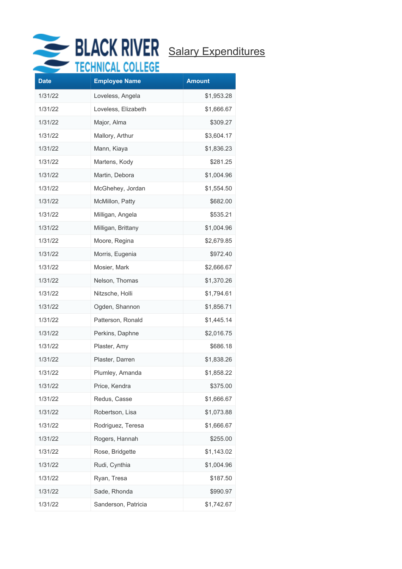

|             | $1111 \times 111$    |               |
|-------------|----------------------|---------------|
| <b>Date</b> | <b>Employee Name</b> | <b>Amount</b> |
| 1/31/22     | Loveless, Angela     | \$1,953.28    |
| 1/31/22     | Loveless, Elizabeth  | \$1,666.67    |
| 1/31/22     | Major, Alma          | \$309.27      |
| 1/31/22     | Mallory, Arthur      | \$3,604.17    |
| 1/31/22     | Mann, Kiaya          | \$1,836.23    |
| 1/31/22     | Martens, Kody        | \$281.25      |
| 1/31/22     | Martin, Debora       | \$1,004.96    |
| 1/31/22     | McGhehey, Jordan     | \$1,554.50    |
| 1/31/22     | McMillon, Patty      | \$682.00      |
| 1/31/22     | Milligan, Angela     | \$535.21      |
| 1/31/22     | Milligan, Brittany   | \$1,004.96    |
| 1/31/22     | Moore, Regina        | \$2,679.85    |
| 1/31/22     | Morris, Eugenia      | \$972.40      |
| 1/31/22     | Mosier, Mark         | \$2,666.67    |
| 1/31/22     | Nelson, Thomas       | \$1,370.26    |
| 1/31/22     | Nitzsche, Holli      | \$1,794.61    |
| 1/31/22     | Ogden, Shannon       | \$1,856.71    |
| 1/31/22     | Patterson, Ronald    | \$1,445.14    |
| 1/31/22     | Perkins, Daphne      | \$2,016.75    |
| 1/31/22     | Plaster, Amy         | \$686.18      |
| 1/31/22     | Plaster, Darren      | \$1,838.26    |
| 1/31/22     | Plumley, Amanda      | \$1,858.22    |
| 1/31/22     | Price, Kendra        | \$375.00      |
| 1/31/22     | Redus, Casse         | \$1,666.67    |
| 1/31/22     | Robertson, Lisa      | \$1,073.88    |
| 1/31/22     | Rodriguez, Teresa    | \$1,666.67    |
| 1/31/22     | Rogers, Hannah       | \$255.00      |
| 1/31/22     | Rose, Bridgette      | \$1,143.02    |
| 1/31/22     | Rudi, Cynthia        | \$1,004.96    |
| 1/31/22     | Ryan, Tresa          | \$187.50      |
| 1/31/22     | Sade, Rhonda         | \$990.97      |
| 1/31/22     | Sanderson, Patricia  | \$1,742.67    |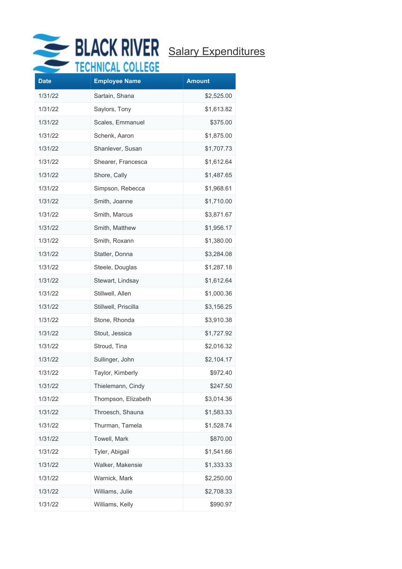

|             | VIIIIWAR VVI         |               |
|-------------|----------------------|---------------|
| <b>Date</b> | <b>Employee Name</b> | <b>Amount</b> |
| 1/31/22     | Sartain, Shana       | \$2,525.00    |
| 1/31/22     | Saylors, Tony        | \$1,613.82    |
| 1/31/22     | Scales, Emmanuel     | \$375.00      |
| 1/31/22     | Schenk, Aaron        | \$1,875.00    |
| 1/31/22     | Shanlever, Susan     | \$1,707.73    |
| 1/31/22     | Shearer, Francesca   | \$1,612.64    |
| 1/31/22     | Shore, Cally         | \$1,487.65    |
| 1/31/22     | Simpson, Rebecca     | \$1,968.61    |
| 1/31/22     | Smith, Joanne        | \$1,710.00    |
| 1/31/22     | Smith, Marcus        | \$3,871.67    |
| 1/31/22     | Smith, Matthew       | \$1,956.17    |
| 1/31/22     | Smith, Roxann        | \$1,380.00    |
| 1/31/22     | Statler, Donna       | \$3,284.08    |
| 1/31/22     | Steele, Douglas      | \$1,287.18    |
| 1/31/22     | Stewart, Lindsay     | \$1,612.64    |
| 1/31/22     | Stillwell, Allen     | \$1,000.36    |
| 1/31/22     | Stillwell, Priscilla | \$3,156.25    |
| 1/31/22     | Stone, Rhonda        | \$3,910.38    |
| 1/31/22     | Stout, Jessica       | \$1,727.92    |
| 1/31/22     | Stroud, Tina         | \$2,016.32    |
| 1/31/22     | Sullinger, John      | \$2,104.17    |
| 1/31/22     | Taylor, Kimberly     | \$972.40      |
| 1/31/22     | Thielemann, Cindy    | \$247.50      |
| 1/31/22     | Thompson, Elizabeth  | \$3,014.36    |
| 1/31/22     | Throesch, Shauna     | \$1,583.33    |
| 1/31/22     | Thurman, Tamela      | \$1,528.74    |
| 1/31/22     | Towell, Mark         | \$870.00      |
| 1/31/22     | Tyler, Abigail       | \$1,541.66    |
| 1/31/22     | Walker, Makensie     | \$1,333.33    |
| 1/31/22     | Warnick, Mark        | \$2,250.00    |
| 1/31/22     | Williams, Julie      | \$2,708.33    |
| 1/31/22     | Williams, Kelly      | \$990.97      |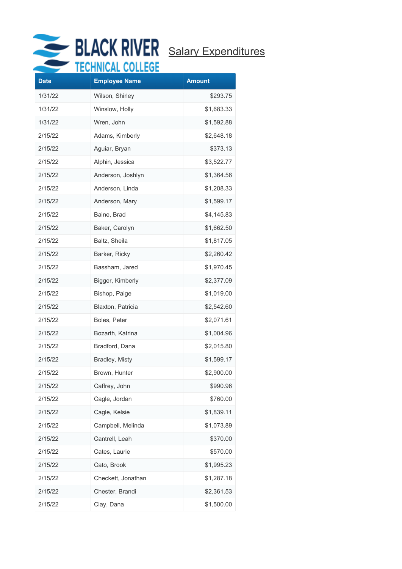

| <b>Date</b> | <b>Employee Name</b> | <b>Amount</b> |
|-------------|----------------------|---------------|
| 1/31/22     | Wilson, Shirley      | \$293.75      |
| 1/31/22     | Winslow, Holly       | \$1,683.33    |
| 1/31/22     | Wren, John           | \$1,592.88    |
| 2/15/22     | Adams, Kimberly      | \$2,648.18    |
| 2/15/22     | Aguiar, Bryan        | \$373.13      |
| 2/15/22     | Alphin, Jessica      | \$3,522.77    |
| 2/15/22     | Anderson, Joshlyn    | \$1,364.56    |
| 2/15/22     | Anderson, Linda      | \$1,208.33    |
| 2/15/22     | Anderson, Mary       | \$1,599.17    |
| 2/15/22     | Baine, Brad          | \$4,145.83    |
| 2/15/22     | Baker, Carolyn       | \$1,662.50    |
| 2/15/22     | Baltz, Sheila        | \$1,817.05    |
| 2/15/22     | Barker, Ricky        | \$2,260.42    |
| 2/15/22     | Bassham, Jared       | \$1,970.45    |
| 2/15/22     | Bigger, Kimberly     | \$2,377.09    |
| 2/15/22     | Bishop, Paige        | \$1,019.00    |
| 2/15/22     | Blaxton, Patricia    | \$2,542.60    |
| 2/15/22     | Boles, Peter         | \$2,071.61    |
| 2/15/22     | Bozarth, Katrina     | \$1,004.96    |
| 2/15/22     | Bradford, Dana       | \$2,015.80    |
| 2/15/22     | Bradley, Misty       | \$1,599.17    |
| 2/15/22     | Brown, Hunter        | \$2,900.00    |
| 2/15/22     | Caffrey, John        | \$990.96      |
| 2/15/22     | Cagle, Jordan        | \$760.00      |
| 2/15/22     | Cagle, Kelsie        | \$1,839.11    |
| 2/15/22     | Campbell, Melinda    | \$1,073.89    |
| 2/15/22     | Cantrell, Leah       | \$370.00      |
| 2/15/22     | Cates, Laurie        | \$570.00      |
| 2/15/22     | Cato, Brook          | \$1,995.23    |
| 2/15/22     | Checkett, Jonathan   | \$1,287.18    |
| 2/15/22     | Chester, Brandi      | \$2,361.53    |
| 2/15/22     | Clay, Dana           | \$1,500.00    |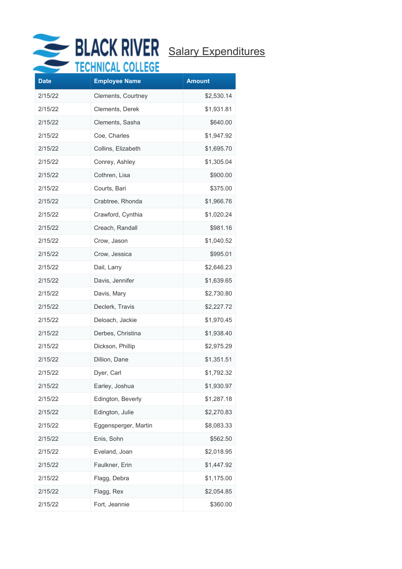

| 2/15/22<br>Clements, Courtney<br>\$2,530.14<br>2/15/22<br>Clements, Derek<br>\$1,931.81<br>Clements, Sasha<br>2/15/22<br>\$640.00<br>2/15/22<br>Coe, Charles<br>\$1,947.92<br>2/15/22<br>Collins, Elizabeth<br>\$1,695.70<br>2/15/22<br>\$1,305.04<br>Conrey, Ashley<br>2/15/22<br>Cothren, Lisa<br>\$900.00<br>Courts, Bari<br>\$375.00<br>2/15/22<br>2/15/22<br>Crabtree, Rhonda<br>\$1,966.76<br>2/15/22<br>Crawford, Cynthia<br>\$1,020.24<br>2/15/22<br>Creach, Randall<br>\$981.16<br>2/15/22<br>Crow, Jason<br>\$1,040.52<br>2/15/22<br>Crow, Jessica<br>\$995.01<br>2/15/22<br>Dail, Larry<br>\$2,646.23<br>2/15/22<br>Davis, Jennifer<br>\$1,639.65<br>2/15/22<br>Davis, Mary<br>\$2,730.80<br>2/15/22<br>Declerk, Travis<br>\$2,227.72<br>Deloach, Jackie<br>2/15/22<br>\$1,970.45<br>2/15/22<br>Derbes, Christina<br>\$1,938.40<br>2/15/22<br>Dickson, Phillip<br>\$2,975.29<br>2/15/22<br>Dillion, Dane<br>\$1,351.51<br>2/15/22<br>\$1,792.32<br>Dyer, Carl<br>Earley, Joshua<br>2/15/22<br>\$1,930.97<br>Edington, Beverly<br>2/15/22<br>\$1,287.18<br>Edington, Julie<br>2/15/22<br>\$2,270.83<br>Eggensperger, Martin<br>2/15/22<br>\$8,083.33<br>2/15/22<br>Enis, Sohn<br>\$562.50<br>Eveland, Joan<br>\$2,018.95<br>2/15/22<br>Faulkner, Erin<br>\$1,447.92<br>2/15/22<br>Flagg, Debra<br>2/15/22<br>\$1,175.00 | <b>Date</b> | <b>Employee Name</b> | <b>Amount</b> |
|-----------------------------------------------------------------------------------------------------------------------------------------------------------------------------------------------------------------------------------------------------------------------------------------------------------------------------------------------------------------------------------------------------------------------------------------------------------------------------------------------------------------------------------------------------------------------------------------------------------------------------------------------------------------------------------------------------------------------------------------------------------------------------------------------------------------------------------------------------------------------------------------------------------------------------------------------------------------------------------------------------------------------------------------------------------------------------------------------------------------------------------------------------------------------------------------------------------------------------------------------------------------------------------------------------------------------------------|-------------|----------------------|---------------|
|                                                                                                                                                                                                                                                                                                                                                                                                                                                                                                                                                                                                                                                                                                                                                                                                                                                                                                                                                                                                                                                                                                                                                                                                                                                                                                                                   |             |                      |               |
|                                                                                                                                                                                                                                                                                                                                                                                                                                                                                                                                                                                                                                                                                                                                                                                                                                                                                                                                                                                                                                                                                                                                                                                                                                                                                                                                   |             |                      |               |
|                                                                                                                                                                                                                                                                                                                                                                                                                                                                                                                                                                                                                                                                                                                                                                                                                                                                                                                                                                                                                                                                                                                                                                                                                                                                                                                                   |             |                      |               |
|                                                                                                                                                                                                                                                                                                                                                                                                                                                                                                                                                                                                                                                                                                                                                                                                                                                                                                                                                                                                                                                                                                                                                                                                                                                                                                                                   |             |                      |               |
|                                                                                                                                                                                                                                                                                                                                                                                                                                                                                                                                                                                                                                                                                                                                                                                                                                                                                                                                                                                                                                                                                                                                                                                                                                                                                                                                   |             |                      |               |
|                                                                                                                                                                                                                                                                                                                                                                                                                                                                                                                                                                                                                                                                                                                                                                                                                                                                                                                                                                                                                                                                                                                                                                                                                                                                                                                                   |             |                      |               |
|                                                                                                                                                                                                                                                                                                                                                                                                                                                                                                                                                                                                                                                                                                                                                                                                                                                                                                                                                                                                                                                                                                                                                                                                                                                                                                                                   |             |                      |               |
|                                                                                                                                                                                                                                                                                                                                                                                                                                                                                                                                                                                                                                                                                                                                                                                                                                                                                                                                                                                                                                                                                                                                                                                                                                                                                                                                   |             |                      |               |
|                                                                                                                                                                                                                                                                                                                                                                                                                                                                                                                                                                                                                                                                                                                                                                                                                                                                                                                                                                                                                                                                                                                                                                                                                                                                                                                                   |             |                      |               |
|                                                                                                                                                                                                                                                                                                                                                                                                                                                                                                                                                                                                                                                                                                                                                                                                                                                                                                                                                                                                                                                                                                                                                                                                                                                                                                                                   |             |                      |               |
|                                                                                                                                                                                                                                                                                                                                                                                                                                                                                                                                                                                                                                                                                                                                                                                                                                                                                                                                                                                                                                                                                                                                                                                                                                                                                                                                   |             |                      |               |
|                                                                                                                                                                                                                                                                                                                                                                                                                                                                                                                                                                                                                                                                                                                                                                                                                                                                                                                                                                                                                                                                                                                                                                                                                                                                                                                                   |             |                      |               |
|                                                                                                                                                                                                                                                                                                                                                                                                                                                                                                                                                                                                                                                                                                                                                                                                                                                                                                                                                                                                                                                                                                                                                                                                                                                                                                                                   |             |                      |               |
|                                                                                                                                                                                                                                                                                                                                                                                                                                                                                                                                                                                                                                                                                                                                                                                                                                                                                                                                                                                                                                                                                                                                                                                                                                                                                                                                   |             |                      |               |
|                                                                                                                                                                                                                                                                                                                                                                                                                                                                                                                                                                                                                                                                                                                                                                                                                                                                                                                                                                                                                                                                                                                                                                                                                                                                                                                                   |             |                      |               |
|                                                                                                                                                                                                                                                                                                                                                                                                                                                                                                                                                                                                                                                                                                                                                                                                                                                                                                                                                                                                                                                                                                                                                                                                                                                                                                                                   |             |                      |               |
|                                                                                                                                                                                                                                                                                                                                                                                                                                                                                                                                                                                                                                                                                                                                                                                                                                                                                                                                                                                                                                                                                                                                                                                                                                                                                                                                   |             |                      |               |
|                                                                                                                                                                                                                                                                                                                                                                                                                                                                                                                                                                                                                                                                                                                                                                                                                                                                                                                                                                                                                                                                                                                                                                                                                                                                                                                                   |             |                      |               |
|                                                                                                                                                                                                                                                                                                                                                                                                                                                                                                                                                                                                                                                                                                                                                                                                                                                                                                                                                                                                                                                                                                                                                                                                                                                                                                                                   |             |                      |               |
|                                                                                                                                                                                                                                                                                                                                                                                                                                                                                                                                                                                                                                                                                                                                                                                                                                                                                                                                                                                                                                                                                                                                                                                                                                                                                                                                   |             |                      |               |
|                                                                                                                                                                                                                                                                                                                                                                                                                                                                                                                                                                                                                                                                                                                                                                                                                                                                                                                                                                                                                                                                                                                                                                                                                                                                                                                                   |             |                      |               |
|                                                                                                                                                                                                                                                                                                                                                                                                                                                                                                                                                                                                                                                                                                                                                                                                                                                                                                                                                                                                                                                                                                                                                                                                                                                                                                                                   |             |                      |               |
|                                                                                                                                                                                                                                                                                                                                                                                                                                                                                                                                                                                                                                                                                                                                                                                                                                                                                                                                                                                                                                                                                                                                                                                                                                                                                                                                   |             |                      |               |
|                                                                                                                                                                                                                                                                                                                                                                                                                                                                                                                                                                                                                                                                                                                                                                                                                                                                                                                                                                                                                                                                                                                                                                                                                                                                                                                                   |             |                      |               |
|                                                                                                                                                                                                                                                                                                                                                                                                                                                                                                                                                                                                                                                                                                                                                                                                                                                                                                                                                                                                                                                                                                                                                                                                                                                                                                                                   |             |                      |               |
|                                                                                                                                                                                                                                                                                                                                                                                                                                                                                                                                                                                                                                                                                                                                                                                                                                                                                                                                                                                                                                                                                                                                                                                                                                                                                                                                   |             |                      |               |
|                                                                                                                                                                                                                                                                                                                                                                                                                                                                                                                                                                                                                                                                                                                                                                                                                                                                                                                                                                                                                                                                                                                                                                                                                                                                                                                                   |             |                      |               |
|                                                                                                                                                                                                                                                                                                                                                                                                                                                                                                                                                                                                                                                                                                                                                                                                                                                                                                                                                                                                                                                                                                                                                                                                                                                                                                                                   |             |                      |               |
|                                                                                                                                                                                                                                                                                                                                                                                                                                                                                                                                                                                                                                                                                                                                                                                                                                                                                                                                                                                                                                                                                                                                                                                                                                                                                                                                   |             |                      |               |
|                                                                                                                                                                                                                                                                                                                                                                                                                                                                                                                                                                                                                                                                                                                                                                                                                                                                                                                                                                                                                                                                                                                                                                                                                                                                                                                                   |             |                      |               |
|                                                                                                                                                                                                                                                                                                                                                                                                                                                                                                                                                                                                                                                                                                                                                                                                                                                                                                                                                                                                                                                                                                                                                                                                                                                                                                                                   |             |                      |               |
|                                                                                                                                                                                                                                                                                                                                                                                                                                                                                                                                                                                                                                                                                                                                                                                                                                                                                                                                                                                                                                                                                                                                                                                                                                                                                                                                   |             |                      |               |
| 2/15/22<br>Flagg, Rex<br>\$2,054.85<br>2/15/22<br>Fort, Jeannie<br>\$360.00                                                                                                                                                                                                                                                                                                                                                                                                                                                                                                                                                                                                                                                                                                                                                                                                                                                                                                                                                                                                                                                                                                                                                                                                                                                       |             |                      |               |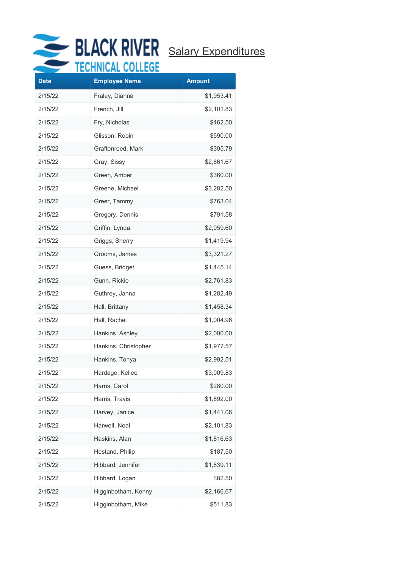

| <b>Date</b> | .<br><b>Employee Name</b> | <b>Amount</b> |
|-------------|---------------------------|---------------|
| 2/15/22     | Fraley, Dianna            | \$1,953.41    |
| 2/15/22     | French, Jill              | \$2,101.83    |
| 2/15/22     | Fry, Nicholas             | \$462.50      |
| 2/15/22     | Glisson, Robin            | \$590.00      |
| 2/15/22     | Graftenreed, Mark         | \$395.79      |
| 2/15/22     | Gray, Sissy               | \$2,861.67    |
| 2/15/22     | Green, Amber              | \$360.00      |
| 2/15/22     | Greene, Michael           | \$3,282.50    |
| 2/15/22     | Greer, Tammy              | \$763.04      |
| 2/15/22     | Gregory, Dennis           | \$791.58      |
| 2/15/22     | Griffin, Lynda            | \$2,059.60    |
| 2/15/22     | Griggs, Sherry            | \$1,419.94    |
| 2/15/22     | Grooms, James             | \$3,321.27    |
| 2/15/22     | Guess, Bridget            | \$1,445.14    |
| 2/15/22     | Gunn, Rickie              | \$2,761.83    |
| 2/15/22     | Guthrey, Janna            | \$1,282.49    |
| 2/15/22     | Hall, Brittany            | \$1,458.34    |
| 2/15/22     | Hall, Rachel              | \$1,004.96    |
| 2/15/22     | Hankins, Ashley           | \$2,000.00    |
| 2/15/22     | Hankins, Christopher      | \$1,977.57    |
| 2/15/22     | Hankins, Tonya            | \$2,992.51    |
| 2/15/22     | Hardage, Kellee           | \$3,009.83    |
| 2/15/22     | Harris, Carol             | \$280.00      |
| 2/15/22     | Harris, Travis            | \$1,892.00    |
| 2/15/22     | Harvey, Janice            | \$1,441.06    |
| 2/15/22     | Harwell, Neal             | \$2,101.83    |
| 2/15/22     | Haskins, Alan             | \$1,816.63    |
| 2/15/22     | Hestand, Philip           | \$187.50      |
| 2/15/22     | Hibbard, Jennifer         | \$1,839.11    |
| 2/15/22     | Hibbard, Logan            | \$82.50       |
| 2/15/22     | Higginbotham, Kenny       | \$2,166.67    |
| 2/15/22     | Higginbotham, Mike        | \$511.83      |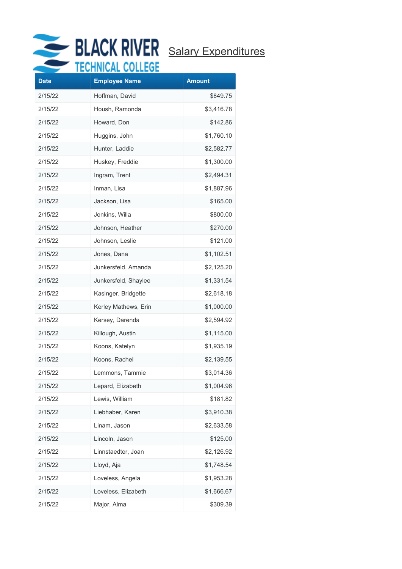

| <b>Date</b> | <b>Employee Name</b> | <b>Amount</b> |
|-------------|----------------------|---------------|
| 2/15/22     | Hoffman, David       | \$849.75      |
| 2/15/22     | Housh, Ramonda       | \$3,416.78    |
| 2/15/22     | Howard, Don          | \$142.86      |
| 2/15/22     | Huggins, John        | \$1,760.10    |
| 2/15/22     | Hunter, Laddie       | \$2,582.77    |
| 2/15/22     | Huskey, Freddie      | \$1,300.00    |
| 2/15/22     | Ingram, Trent        | \$2,494.31    |
| 2/15/22     | Inman, Lisa          | \$1,887.96    |
| 2/15/22     | Jackson, Lisa        | \$165.00      |
| 2/15/22     | Jenkins, Willa       | \$800.00      |
| 2/15/22     | Johnson, Heather     | \$270.00      |
| 2/15/22     | Johnson, Leslie      | \$121.00      |
| 2/15/22     | Jones, Dana          | \$1,102.51    |
| 2/15/22     | Junkersfeld, Amanda  | \$2,125.20    |
| 2/15/22     | Junkersfeld, Shaylee | \$1,331.54    |
| 2/15/22     | Kasinger, Bridgette  | \$2,618.18    |
| 2/15/22     | Kerley Mathews, Erin | \$1,000.00    |
| 2/15/22     | Kersey, Darenda      | \$2,594.92    |
| 2/15/22     | Killough, Austin     | \$1,115.00    |
| 2/15/22     | Koons, Katelyn       | \$1,935.19    |
| 2/15/22     | Koons, Rachel        | \$2,139.55    |
| 2/15/22     | Lemmons, Tammie      | \$3,014.36    |
| 2/15/22     | Lepard, Elizabeth    | \$1,004.96    |
| 2/15/22     | Lewis, William       | \$181.82      |
| 2/15/22     | Liebhaber, Karen     | \$3,910.38    |
| 2/15/22     | Linam, Jason         | \$2,633.58    |
| 2/15/22     | Lincoln, Jason       | \$125.00      |
| 2/15/22     | Linnstaedter, Joan   | \$2,126.92    |
| 2/15/22     | Lloyd, Aja           | \$1,748.54    |
| 2/15/22     | Loveless, Angela     | \$1,953.28    |
| 2/15/22     | Loveless, Elizabeth  | \$1,666.67    |
| 2/15/22     | Major, Alma          | \$309.39      |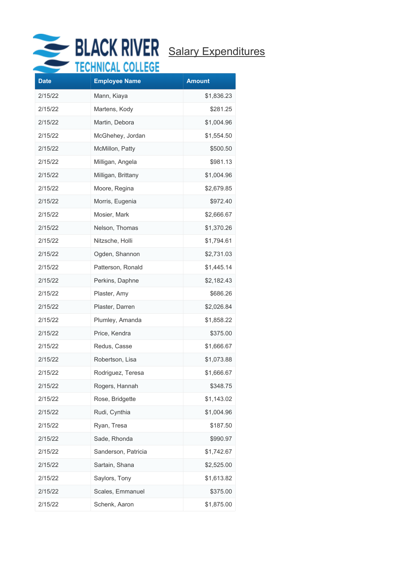

| <b>Date</b> | <b>Employee Name</b> | <b>Amount</b> |
|-------------|----------------------|---------------|
| 2/15/22     | Mann, Kiaya          | \$1,836.23    |
| 2/15/22     | Martens, Kody        | \$281.25      |
| 2/15/22     | Martin, Debora       | \$1,004.96    |
| 2/15/22     | McGhehey, Jordan     | \$1,554.50    |
| 2/15/22     | McMillon, Patty      | \$500.50      |
| 2/15/22     | Milligan, Angela     | \$981.13      |
| 2/15/22     | Milligan, Brittany   | \$1,004.96    |
| 2/15/22     | Moore, Regina        | \$2,679.85    |
| 2/15/22     | Morris, Eugenia      | \$972.40      |
| 2/15/22     | Mosier, Mark         | \$2,666.67    |
| 2/15/22     | Nelson, Thomas       | \$1,370.26    |
| 2/15/22     | Nitzsche, Holli      | \$1,794.61    |
| 2/15/22     | Ogden, Shannon       | \$2,731.03    |
| 2/15/22     | Patterson, Ronald    | \$1,445.14    |
| 2/15/22     | Perkins, Daphne      | \$2,182.43    |
| 2/15/22     | Plaster, Amy         | \$686.26      |
| 2/15/22     | Plaster, Darren      | \$2,026.84    |
| 2/15/22     | Plumley, Amanda      | \$1,858.22    |
| 2/15/22     | Price, Kendra        | \$375.00      |
| 2/15/22     | Redus, Casse         | \$1,666.67    |
| 2/15/22     | Robertson, Lisa      | \$1,073.88    |
| 2/15/22     | Rodriguez, Teresa    | \$1,666.67    |
| 2/15/22     | Rogers, Hannah       | \$348.75      |
| 2/15/22     | Rose, Bridgette      | \$1,143.02    |
| 2/15/22     | Rudi, Cynthia        | \$1,004.96    |
| 2/15/22     | Ryan, Tresa          | \$187.50      |
| 2/15/22     | Sade, Rhonda         | \$990.97      |
| 2/15/22     | Sanderson, Patricia  | \$1,742.67    |
| 2/15/22     | Sartain, Shana       | \$2,525.00    |
| 2/15/22     | Saylors, Tony        | \$1,613.82    |
| 2/15/22     | Scales, Emmanuel     | \$375.00      |
| 2/15/22     | Schenk, Aaron        | \$1,875.00    |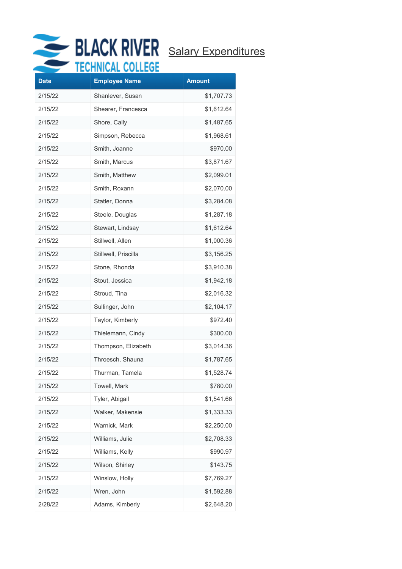

|             | EANNIANE AAPPEAP     |               |
|-------------|----------------------|---------------|
| <b>Date</b> | <b>Employee Name</b> | <b>Amount</b> |
| 2/15/22     | Shanlever, Susan     | \$1,707.73    |
| 2/15/22     | Shearer, Francesca   | \$1,612.64    |
| 2/15/22     | Shore, Cally         | \$1,487.65    |
| 2/15/22     | Simpson, Rebecca     | \$1,968.61    |
| 2/15/22     | Smith, Joanne        | \$970.00      |
| 2/15/22     | Smith, Marcus        | \$3,871.67    |
| 2/15/22     | Smith, Matthew       | \$2,099.01    |
| 2/15/22     | Smith, Roxann        | \$2,070.00    |
| 2/15/22     | Statler, Donna       | \$3,284.08    |
| 2/15/22     | Steele, Douglas      | \$1,287.18    |
| 2/15/22     | Stewart, Lindsay     | \$1,612.64    |
| 2/15/22     | Stillwell, Allen     | \$1,000.36    |
| 2/15/22     | Stillwell, Priscilla | \$3,156.25    |
| 2/15/22     | Stone, Rhonda        | \$3,910.38    |
| 2/15/22     | Stout, Jessica       | \$1,942.18    |
| 2/15/22     | Stroud, Tina         | \$2,016.32    |
| 2/15/22     | Sullinger, John      | \$2,104.17    |
| 2/15/22     | Taylor, Kimberly     | \$972.40      |
| 2/15/22     | Thielemann, Cindy    | \$300.00      |
| 2/15/22     | Thompson, Elizabeth  | \$3,014.36    |
| 2/15/22     | Throesch, Shauna     | \$1,787.65    |
| 2/15/22     | Thurman, Tamela      | \$1,528.74    |
| 2/15/22     | Towell, Mark         | \$780.00      |
| 2/15/22     | Tyler, Abigail       | \$1,541.66    |
| 2/15/22     | Walker, Makensie     | \$1,333.33    |
| 2/15/22     | Warnick, Mark        | \$2,250.00    |
| 2/15/22     | Williams, Julie      | \$2,708.33    |
| 2/15/22     | Williams, Kelly      | \$990.97      |
| 2/15/22     | Wilson, Shirley      | \$143.75      |
| 2/15/22     | Winslow, Holly       | \$7,769.27    |
| 2/15/22     | Wren, John           | \$1,592.88    |
| 2/28/22     | Adams, Kimberly      | \$2,648.20    |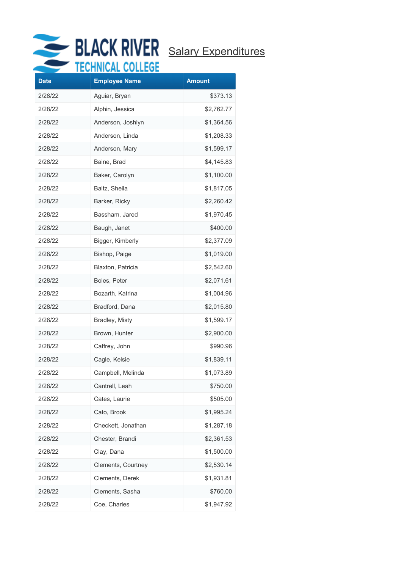

| <b>Date</b> | .<br><b>Employee Name</b> | <b>Amount</b> |
|-------------|---------------------------|---------------|
| 2/28/22     | Aguiar, Bryan             | \$373.13      |
| 2/28/22     | Alphin, Jessica           | \$2,762.77    |
| 2/28/22     | Anderson, Joshlyn         | \$1,364.56    |
| 2/28/22     | Anderson, Linda           | \$1,208.33    |
| 2/28/22     | Anderson, Mary            | \$1,599.17    |
| 2/28/22     | Baine, Brad               | \$4,145.83    |
| 2/28/22     | Baker, Carolyn            | \$1,100.00    |
| 2/28/22     | Baltz, Sheila             | \$1,817.05    |
| 2/28/22     | Barker, Ricky             | \$2,260.42    |
| 2/28/22     | Bassham, Jared            | \$1,970.45    |
| 2/28/22     | Baugh, Janet              | \$400.00      |
| 2/28/22     | Bigger, Kimberly          | \$2,377.09    |
| 2/28/22     | Bishop, Paige             | \$1,019.00    |
| 2/28/22     | Blaxton, Patricia         | \$2,542.60    |
| 2/28/22     | Boles, Peter              | \$2,071.61    |
| 2/28/22     | Bozarth, Katrina          | \$1,004.96    |
| 2/28/22     | Bradford, Dana            | \$2,015.80    |
| 2/28/22     | Bradley, Misty            | \$1,599.17    |
| 2/28/22     | Brown, Hunter             | \$2,900.00    |
| 2/28/22     | Caffrey, John             | \$990.96      |
| 2/28/22     | Cagle, Kelsie             | \$1,839.11    |
| 2/28/22     | Campbell, Melinda         | \$1,073.89    |
| 2/28/22     | Cantrell, Leah            | \$750.00      |
| 2/28/22     | Cates, Laurie             | \$505.00      |
| 2/28/22     | Cato, Brook               | \$1,995.24    |
| 2/28/22     | Checkett, Jonathan        | \$1,287.18    |
| 2/28/22     | Chester, Brandi           | \$2,361.53    |
| 2/28/22     | Clay, Dana                | \$1,500.00    |
| 2/28/22     | Clements, Courtney        | \$2,530.14    |
| 2/28/22     | Clements, Derek           | \$1,931.81    |
| 2/28/22     | Clements, Sasha           | \$760.00      |
| 2/28/22     | Coe, Charles              | \$1,947.92    |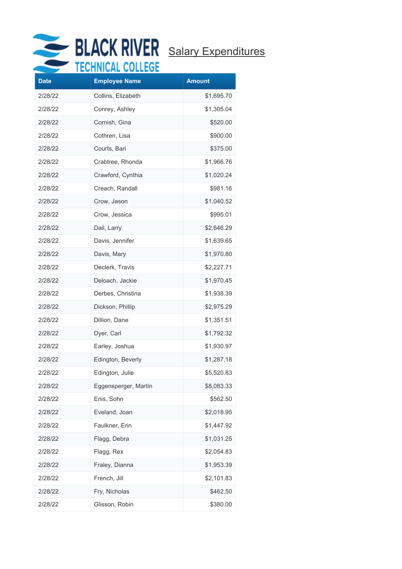

|             | <b><i>FIIIDER VI</i></b> |               |
|-------------|--------------------------|---------------|
| <b>Date</b> | <b>Employee Name</b>     | <b>Amount</b> |
| 2/28/22     | Collins, Elizabeth       | \$1,695.70    |
| 2/28/22     | Conrey, Ashley           | \$1,305.04    |
| 2/28/22     | Cornish, Gina            | \$520.00      |
| 2/28/22     | Cothren, Lisa            | \$900.00      |
| 2/28/22     | Courts, Bari             | \$375.00      |
| 2/28/22     | Crabtree, Rhonda         | \$1,966.76    |
| 2/28/22     | Crawford, Cynthia        | \$1,020.24    |
| 2/28/22     | Creach, Randall          | \$981.16      |
| 2/28/22     | Crow, Jason              | \$1,040.52    |
| 2/28/22     | Crow, Jessica            | \$995.01      |
| 2/28/22     | Dail, Larry              | \$2,646.29    |
| 2/28/22     | Davis, Jennifer          | \$1,639.65    |
| 2/28/22     | Davis, Mary              | \$1,970.80    |
| 2/28/22     | Declerk, Travis          | \$2,227.71    |
| 2/28/22     | Deloach, Jackie          | \$1,970.45    |
| 2/28/22     | Derbes, Christina        | \$1,938.39    |
| 2/28/22     | Dickson, Phillip         | \$2,975.29    |
| 2/28/22     | Dillion, Dane            | \$1,351.51    |
| 2/28/22     | Dyer, Carl               | \$1,792.32    |
| 2/28/22     | Earley, Joshua           | \$1,930.97    |
| 2/28/22     | Edington, Beverly        | \$1,287.18    |
| 2/28/22     | Edington, Julie          | \$5,520.83    |
| 2/28/22     | Eggensperger, Martin     | \$8,083.33    |
| 2/28/22     | Enis, Sohn               | \$562.50      |
| 2/28/22     | Eveland, Joan            | \$2,018.95    |
| 2/28/22     | Faulkner, Erin           | \$1,447.92    |
| 2/28/22     | Flagg, Debra             | \$1,031.25    |
| 2/28/22     | Flagg, Rex               | \$2,054.83    |
| 2/28/22     | Fraley, Dianna           | \$1,953.39    |
| 2/28/22     | French, Jill             | \$2,101.83    |
| 2/28/22     | Fry, Nicholas            | \$462.50      |
| 2/28/22     | Glisson, Robin           | \$380.00      |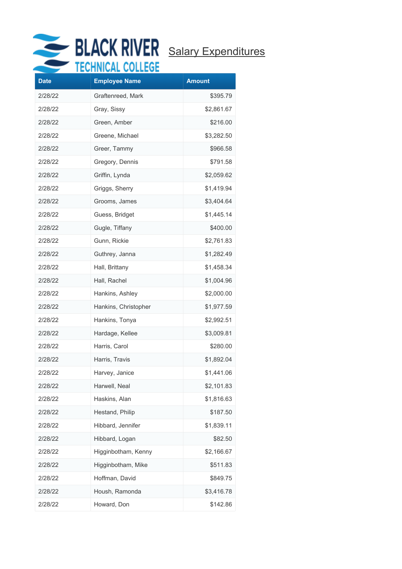

| <b>Date</b> | <b>Employee Name</b> | <b>Amount</b> |
|-------------|----------------------|---------------|
| 2/28/22     | Graftenreed, Mark    | \$395.79      |
| 2/28/22     | Gray, Sissy          | \$2,861.67    |
| 2/28/22     | Green, Amber         | \$216.00      |
| 2/28/22     | Greene, Michael      | \$3,282.50    |
| 2/28/22     | Greer, Tammy         | \$966.58      |
| 2/28/22     | Gregory, Dennis      | \$791.58      |
| 2/28/22     | Griffin, Lynda       | \$2,059.62    |
| 2/28/22     | Griggs, Sherry       | \$1,419.94    |
| 2/28/22     | Grooms, James        | \$3,404.64    |
| 2/28/22     | Guess, Bridget       | \$1,445.14    |
| 2/28/22     | Gugle, Tiffany       | \$400.00      |
| 2/28/22     | Gunn, Rickie         | \$2,761.83    |
| 2/28/22     | Guthrey, Janna       | \$1,282.49    |
| 2/28/22     | Hall, Brittany       | \$1,458.34    |
| 2/28/22     | Hall, Rachel         | \$1,004.96    |
| 2/28/22     | Hankins, Ashley      | \$2,000.00    |
| 2/28/22     | Hankins, Christopher | \$1,977.59    |
| 2/28/22     | Hankins, Tonya       | \$2,992.51    |
| 2/28/22     | Hardage, Kellee      | \$3,009.81    |
| 2/28/22     | Harris, Carol        | \$280.00      |
| 2/28/22     | Harris, Travis       | \$1,892.04    |
| 2/28/22     | Harvey, Janice       | \$1,441.06    |
| 2/28/22     | Harwell, Neal        | \$2,101.83    |
| 2/28/22     | Haskins, Alan        | \$1,816.63    |
| 2/28/22     | Hestand, Philip      | \$187.50      |
| 2/28/22     | Hibbard, Jennifer    | \$1,839.11    |
| 2/28/22     | Hibbard, Logan       | \$82.50       |
| 2/28/22     | Higginbotham, Kenny  | \$2,166.67    |
| 2/28/22     | Higginbotham, Mike   | \$511.83      |
| 2/28/22     | Hoffman, David       | \$849.75      |
| 2/28/22     | Housh, Ramonda       | \$3,416.78    |
| 2/28/22     | Howard, Don          | \$142.86      |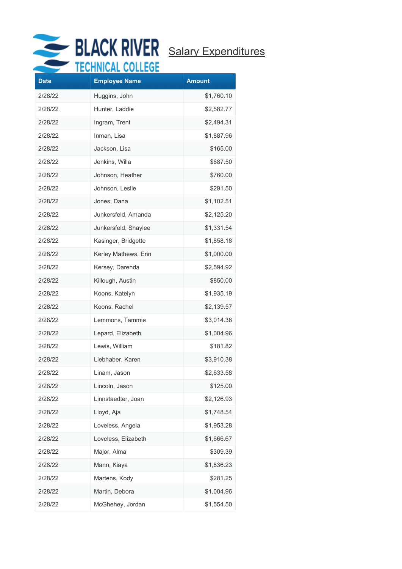

| <b>Date</b> | <b>Employee Name</b> | <b>Amount</b> |
|-------------|----------------------|---------------|
|             |                      |               |
| 2/28/22     | Huggins, John        | \$1,760.10    |
| 2/28/22     | Hunter, Laddie       | \$2,582.77    |
| 2/28/22     | Ingram, Trent        | \$2,494.31    |
| 2/28/22     | Inman, Lisa          | \$1,887.96    |
| 2/28/22     | Jackson, Lisa        | \$165.00      |
| 2/28/22     | Jenkins, Willa       | \$687.50      |
| 2/28/22     | Johnson, Heather     | \$760.00      |
| 2/28/22     | Johnson, Leslie      | \$291.50      |
| 2/28/22     | Jones, Dana          | \$1,102.51    |
| 2/28/22     | Junkersfeld, Amanda  | \$2,125.20    |
| 2/28/22     | Junkersfeld, Shaylee | \$1,331.54    |
| 2/28/22     | Kasinger, Bridgette  | \$1,858.18    |
| 2/28/22     | Kerley Mathews, Erin | \$1,000.00    |
| 2/28/22     | Kersey, Darenda      | \$2,594.92    |
| 2/28/22     | Killough, Austin     | \$850.00      |
| 2/28/22     | Koons, Katelyn       | \$1,935.19    |
| 2/28/22     | Koons, Rachel        | \$2,139.57    |
| 2/28/22     | Lemmons, Tammie      | \$3,014.36    |
| 2/28/22     | Lepard, Elizabeth    | \$1,004.96    |
| 2/28/22     | Lewis, William       | \$181.82      |
| 2/28/22     | Liebhaber, Karen     | \$3,910.38    |
| 2/28/22     | Linam, Jason         | \$2,633.58    |
| 2/28/22     | Lincoln, Jason       | \$125.00      |
| 2/28/22     | Linnstaedter, Joan   | \$2,126.93    |
| 2/28/22     | Lloyd, Aja           | \$1,748.54    |
| 2/28/22     | Loveless, Angela     | \$1,953.28    |
| 2/28/22     | Loveless, Elizabeth  | \$1,666.67    |
| 2/28/22     | Major, Alma          | \$309.39      |
| 2/28/22     | Mann, Kiaya          | \$1,836.23    |
| 2/28/22     | Martens, Kody        | \$281.25      |
| 2/28/22     | Martin, Debora       | \$1,004.96    |
| 2/28/22     | McGhehey, Jordan     | \$1,554.50    |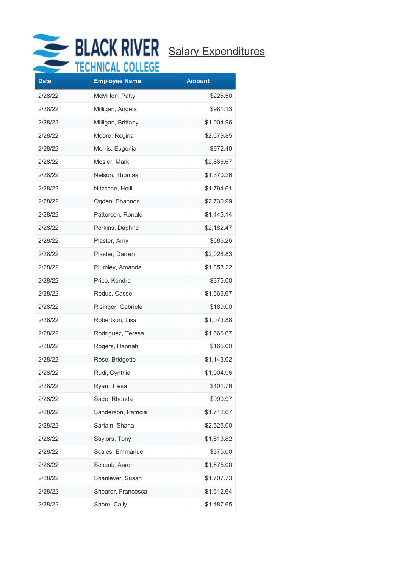

| <b>Date</b> | .<br><b>Employee Name</b> | <b>Amount</b> |
|-------------|---------------------------|---------------|
| 2/28/22     | McMillon, Patty           | \$225.50      |
| 2/28/22     | Milligan, Angela          | \$981.13      |
| 2/28/22     | Milligan, Brittany        | \$1,004.96    |
| 2/28/22     | Moore, Regina             | \$2,679.85    |
| 2/28/22     | Morris, Eugenia           | \$972.40      |
| 2/28/22     | Mosier, Mark              | \$2,666.67    |
| 2/28/22     | Nelson, Thomas            | \$1,370.26    |
| 2/28/22     | Nitzsche, Holli           | \$1,794.61    |
| 2/28/22     | Ogden, Shannon            | \$2,730.99    |
| 2/28/22     | Patterson, Ronald         | \$1,445.14    |
| 2/28/22     | Perkins, Daphne           | \$2,182.47    |
| 2/28/22     | Plaster, Amy              | \$686.26      |
| 2/28/22     | Plaster, Darren           | \$2,026.83    |
| 2/28/22     | Plumley, Amanda           | \$1,858.22    |
| 2/28/22     | Price, Kendra             | \$375.00      |
| 2/28/22     | Redus, Casse              | \$1,666.67    |
| 2/28/22     | Risinger, Gabriele        | \$180.00      |
| 2/28/22     | Robertson, Lisa           | \$1,073.88    |
| 2/28/22     | Rodriguez, Teresa         | \$1,666.67    |
| 2/28/22     | Rogers, Hannah            | \$165.00      |
| 2/28/22     | Rose, Bridgette           | \$1,143.02    |
| 2/28/22     | Rudi, Cynthia             | \$1,004.96    |
| 2/28/22     | Ryan, Tresa               | \$401.76      |
| 2/28/22     | Sade, Rhonda              | \$990.97      |
| 2/28/22     | Sanderson, Patricia       | \$1,742.67    |
| 2/28/22     | Sartain, Shana            | \$2,525.00    |
| 2/28/22     | Saylors, Tony             | \$1,613.82    |
| 2/28/22     | Scales, Emmanuel          | \$375.00      |
| 2/28/22     | Schenk, Aaron             | \$1,875.00    |
| 2/28/22     | Shanlever, Susan          | \$1,707.73    |
| 2/28/22     | Shearer, Francesca        | \$1,612.64    |
| 2/28/22     | Shore, Cally              | \$1,487.65    |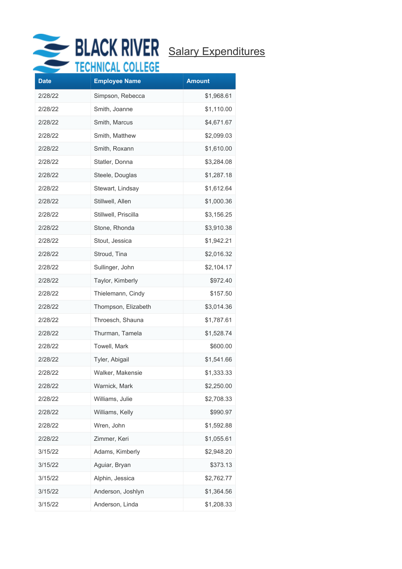

| <b>Date</b> | .<br><b>Employee Name</b> | <b>Amount</b> |
|-------------|---------------------------|---------------|
| 2/28/22     | Simpson, Rebecca          | \$1,968.61    |
| 2/28/22     | Smith, Joanne             | \$1,110.00    |
| 2/28/22     | Smith, Marcus             | \$4,671.67    |
| 2/28/22     | Smith, Matthew            | \$2,099.03    |
| 2/28/22     | Smith, Roxann             | \$1,610.00    |
| 2/28/22     | Statler, Donna            | \$3,284.08    |
| 2/28/22     | Steele, Douglas           | \$1,287.18    |
| 2/28/22     | Stewart, Lindsay          | \$1,612.64    |
| 2/28/22     | Stillwell, Allen          | \$1,000.36    |
| 2/28/22     | Stillwell, Priscilla      | \$3,156.25    |
| 2/28/22     | Stone, Rhonda             | \$3,910.38    |
| 2/28/22     | Stout, Jessica            | \$1,942.21    |
| 2/28/22     | Stroud, Tina              | \$2,016.32    |
| 2/28/22     | Sullinger, John           | \$2,104.17    |
| 2/28/22     | Taylor, Kimberly          | \$972.40      |
| 2/28/22     | Thielemann, Cindy         | \$157.50      |
| 2/28/22     | Thompson, Elizabeth       | \$3,014.36    |
| 2/28/22     | Throesch, Shauna          | \$1,787.61    |
| 2/28/22     | Thurman, Tamela           | \$1,528.74    |
| 2/28/22     | Towell, Mark              | \$600.00      |
| 2/28/22     | Tyler, Abigail            | \$1,541.66    |
| 2/28/22     | Walker, Makensie          | \$1,333.33    |
| 2/28/22     | Warnick, Mark             | \$2,250.00    |
| 2/28/22     | Williams, Julie           | \$2,708.33    |
| 2/28/22     | Williams, Kelly           | \$990.97      |
| 2/28/22     | Wren, John                | \$1,592.88    |
| 2/28/22     | Zimmer, Keri              | \$1,055.61    |
| 3/15/22     | Adams, Kimberly           | \$2,948.20    |
| 3/15/22     | Aguiar, Bryan             | \$373.13      |
| 3/15/22     | Alphin, Jessica           | \$2,762.77    |
| 3/15/22     | Anderson, Joshlyn         | \$1,364.56    |
| 3/15/22     | Anderson, Linda           | \$1,208.33    |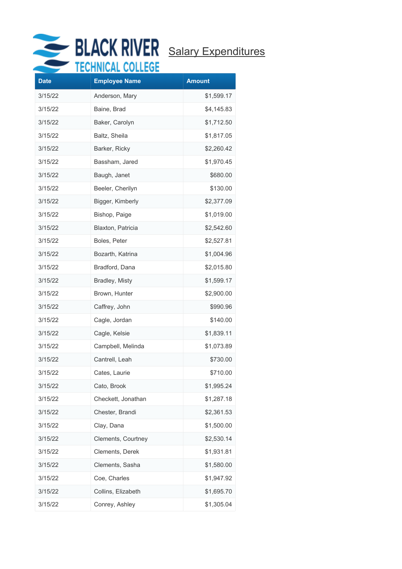

| <b>Date</b> | .<br><b>Employee Name</b> | <b>Amount</b> |
|-------------|---------------------------|---------------|
| 3/15/22     | Anderson, Mary            | \$1,599.17    |
| 3/15/22     | Baine, Brad               | \$4,145.83    |
| 3/15/22     | Baker, Carolyn            | \$1,712.50    |
| 3/15/22     | Baltz, Sheila             | \$1,817.05    |
| 3/15/22     | Barker, Ricky             | \$2,260.42    |
| 3/15/22     | Bassham, Jared            | \$1,970.45    |
| 3/15/22     | Baugh, Janet              | \$680.00      |
| 3/15/22     | Beeler, Cherilyn          | \$130.00      |
| 3/15/22     | Bigger, Kimberly          | \$2,377.09    |
| 3/15/22     | Bishop, Paige             | \$1,019.00    |
| 3/15/22     | Blaxton, Patricia         | \$2,542.60    |
| 3/15/22     | Boles, Peter              | \$2,527.81    |
| 3/15/22     | Bozarth, Katrina          | \$1,004.96    |
| 3/15/22     | Bradford, Dana            | \$2,015.80    |
| 3/15/22     | Bradley, Misty            | \$1,599.17    |
| 3/15/22     | Brown, Hunter             | \$2,900.00    |
| 3/15/22     | Caffrey, John             | \$990.96      |
| 3/15/22     | Cagle, Jordan             | \$140.00      |
| 3/15/22     | Cagle, Kelsie             | \$1,839.11    |
| 3/15/22     | Campbell, Melinda         | \$1,073.89    |
| 3/15/22     | Cantrell, Leah            | \$730.00      |
| 3/15/22     | Cates, Laurie             | \$710.00      |
| 3/15/22     | Cato, Brook               | \$1,995.24    |
| 3/15/22     | Checkett, Jonathan        | \$1,287.18    |
| 3/15/22     | Chester, Brandi           | \$2,361.53    |
| 3/15/22     | Clay, Dana                | \$1,500.00    |
| 3/15/22     | Clements, Courtney        | \$2,530.14    |
| 3/15/22     | Clements, Derek           | \$1,931.81    |
| 3/15/22     | Clements, Sasha           | \$1,580.00    |
| 3/15/22     | Coe, Charles              | \$1,947.92    |
| 3/15/22     | Collins, Elizabeth        | \$1,695.70    |
| 3/15/22     | Conrey, Ashley            | \$1,305.04    |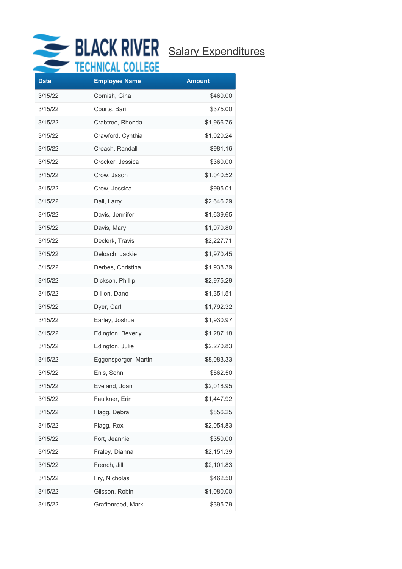

| <b>Date</b> | ww<br><b>Employee Name</b> | <b>Amount</b> |
|-------------|----------------------------|---------------|
| 3/15/22     | Cornish, Gina              | \$460.00      |
| 3/15/22     | Courts, Bari               | \$375.00      |
| 3/15/22     | Crabtree, Rhonda           | \$1,966.76    |
| 3/15/22     | Crawford, Cynthia          | \$1,020.24    |
| 3/15/22     | Creach, Randall            | \$981.16      |
| 3/15/22     | Crocker, Jessica           | \$360.00      |
| 3/15/22     | Crow, Jason                | \$1,040.52    |
| 3/15/22     | Crow, Jessica              | \$995.01      |
| 3/15/22     | Dail, Larry                | \$2,646.29    |
| 3/15/22     | Davis, Jennifer            | \$1,639.65    |
| 3/15/22     | Davis, Mary                | \$1,970.80    |
| 3/15/22     | Declerk, Travis            | \$2,227.71    |
| 3/15/22     | Deloach, Jackie            | \$1,970.45    |
| 3/15/22     | Derbes, Christina          | \$1,938.39    |
| 3/15/22     | Dickson, Phillip           | \$2,975.29    |
| 3/15/22     | Dillion, Dane              | \$1,351.51    |
| 3/15/22     | Dyer, Carl                 | \$1,792.32    |
| 3/15/22     | Earley, Joshua             | \$1,930.97    |
| 3/15/22     | Edington, Beverly          | \$1,287.18    |
| 3/15/22     | Edington, Julie            | \$2,270.83    |
| 3/15/22     | Eggensperger, Martin       | \$8,083.33    |
| 3/15/22     | Enis, Sohn                 | \$562.50      |
| 3/15/22     | Eveland, Joan              | \$2,018.95    |
| 3/15/22     | Faulkner, Erin             | \$1,447.92    |
| 3/15/22     | Flagg, Debra               | \$856.25      |
| 3/15/22     | Flagg, Rex                 | \$2,054.83    |
| 3/15/22     | Fort, Jeannie              | \$350.00      |
| 3/15/22     | Fraley, Dianna             | \$2,151.39    |
| 3/15/22     | French, Jill               | \$2,101.83    |
| 3/15/22     | Fry, Nicholas              | \$462.50      |
| 3/15/22     | Glisson, Robin             | \$1,080.00    |
| 3/15/22     | Graftenreed, Mark          | \$395.79      |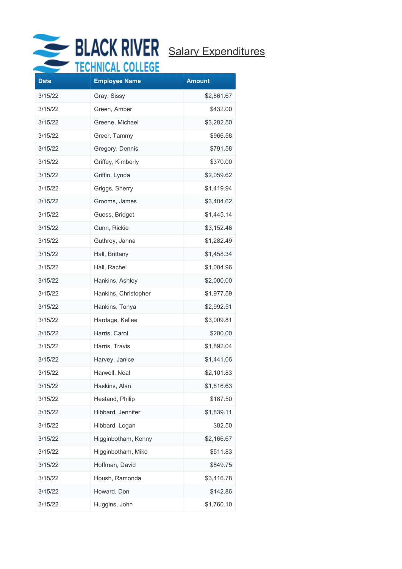

| <b>Date</b> | <b>Employee Name</b> | <b>Amount</b> |
|-------------|----------------------|---------------|
| 3/15/22     | Gray, Sissy          | \$2,861.67    |
| 3/15/22     | Green, Amber         | \$432.00      |
| 3/15/22     | Greene, Michael      | \$3,282.50    |
| 3/15/22     | Greer, Tammy         | \$966.58      |
| 3/15/22     | Gregory, Dennis      | \$791.58      |
| 3/15/22     | Griffey, Kimberly    | \$370.00      |
| 3/15/22     | Griffin, Lynda       | \$2,059.62    |
| 3/15/22     | Griggs, Sherry       | \$1,419.94    |
| 3/15/22     | Grooms, James        | \$3,404.62    |
| 3/15/22     | Guess, Bridget       | \$1,445.14    |
| 3/15/22     | Gunn, Rickie         | \$3,152.46    |
| 3/15/22     | Guthrey, Janna       | \$1,282.49    |
| 3/15/22     | Hall, Brittany       | \$1,458.34    |
| 3/15/22     | Hall, Rachel         | \$1,004.96    |
| 3/15/22     | Hankins, Ashley      | \$2,000.00    |
| 3/15/22     | Hankins, Christopher | \$1,977.59    |
| 3/15/22     | Hankins, Tonya       | \$2,992.51    |
| 3/15/22     | Hardage, Kellee      | \$3,009.81    |
| 3/15/22     | Harris, Carol        | \$280.00      |
| 3/15/22     | Harris, Travis       | \$1,892.04    |
| 3/15/22     | Harvey, Janice       | \$1,441.06    |
| 3/15/22     | Harwell, Neal        | \$2,101.83    |
| 3/15/22     | Haskins, Alan        | \$1,816.63    |
| 3/15/22     | Hestand, Philip      | \$187.50      |
| 3/15/22     | Hibbard, Jennifer    | \$1,839.11    |
| 3/15/22     | Hibbard, Logan       | \$82.50       |
| 3/15/22     | Higginbotham, Kenny  | \$2,166.67    |
| 3/15/22     | Higginbotham, Mike   | \$511.83      |
| 3/15/22     | Hoffman, David       | \$849.75      |
| 3/15/22     | Housh, Ramonda       | \$3,416.78    |
| 3/15/22     | Howard, Don          | \$142.86      |
| 3/15/22     | Huggins, John        | \$1,760.10    |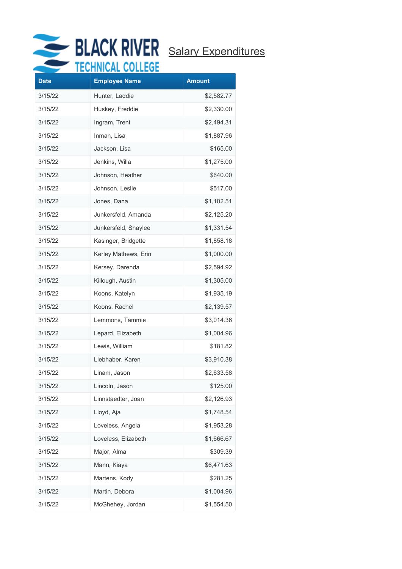

| <b>Date</b> | ᠁<br><b>Employee Name</b> | <b>Amount</b> |
|-------------|---------------------------|---------------|
| 3/15/22     | Hunter, Laddie            | \$2,582.77    |
| 3/15/22     | Huskey, Freddie           | \$2,330.00    |
| 3/15/22     | Ingram, Trent             | \$2,494.31    |
| 3/15/22     | Inman, Lisa               | \$1,887.96    |
| 3/15/22     | Jackson, Lisa             | \$165.00      |
| 3/15/22     | Jenkins, Willa            | \$1,275.00    |
| 3/15/22     | Johnson, Heather          | \$640.00      |
| 3/15/22     | Johnson, Leslie           | \$517.00      |
| 3/15/22     | Jones, Dana               | \$1,102.51    |
| 3/15/22     | Junkersfeld, Amanda       | \$2,125.20    |
| 3/15/22     | Junkersfeld, Shaylee      | \$1,331.54    |
| 3/15/22     | Kasinger, Bridgette       | \$1,858.18    |
| 3/15/22     | Kerley Mathews, Erin      | \$1,000.00    |
| 3/15/22     | Kersey, Darenda           | \$2,594.92    |
| 3/15/22     | Killough, Austin          | \$1,305.00    |
| 3/15/22     | Koons, Katelyn            | \$1,935.19    |
| 3/15/22     | Koons, Rachel             | \$2,139.57    |
| 3/15/22     | Lemmons, Tammie           | \$3,014.36    |
| 3/15/22     | Lepard, Elizabeth         | \$1,004.96    |
| 3/15/22     | Lewis, William            | \$181.82      |
| 3/15/22     | Liebhaber, Karen          | \$3,910.38    |
| 3/15/22     | Linam, Jason              | \$2,633.58    |
| 3/15/22     | Lincoln, Jason            | \$125.00      |
| 3/15/22     | Linnstaedter, Joan        | \$2,126.93    |
| 3/15/22     | Lloyd, Aja                | \$1,748.54    |
| 3/15/22     | Loveless, Angela          | \$1,953.28    |
| 3/15/22     | Loveless, Elizabeth       | \$1,666.67    |
| 3/15/22     | Major, Alma               | \$309.39      |
| 3/15/22     | Mann, Kiaya               | \$6,471.63    |
| 3/15/22     | Martens, Kody             | \$281.25      |
| 3/15/22     | Martin, Debora            | \$1,004.96    |
| 3/15/22     | McGhehey, Jordan          | \$1,554.50    |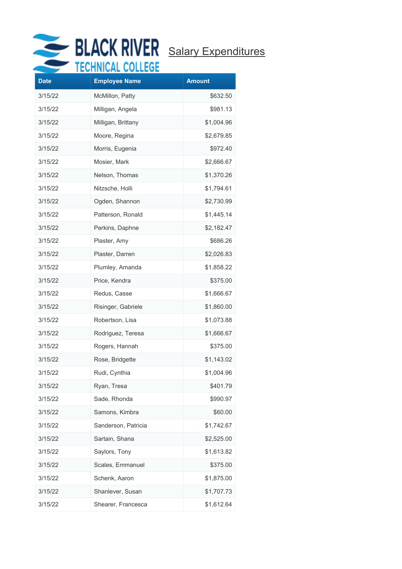

| <b>Date</b> | .    .<br><b>Employee Name</b> | <b>Amount</b> |
|-------------|--------------------------------|---------------|
| 3/15/22     | McMillon, Patty                | \$632.50      |
| 3/15/22     | Milligan, Angela               | \$981.13      |
| 3/15/22     | Milligan, Brittany             | \$1,004.96    |
| 3/15/22     | Moore, Regina                  | \$2,679.85    |
| 3/15/22     | Morris, Eugenia                | \$972.40      |
| 3/15/22     | Mosier, Mark                   | \$2,666.67    |
| 3/15/22     | Nelson, Thomas                 | \$1,370.26    |
| 3/15/22     | Nitzsche, Holli                | \$1,794.61    |
| 3/15/22     | Ogden, Shannon                 | \$2,730.99    |
| 3/15/22     | Patterson, Ronald              | \$1,445.14    |
| 3/15/22     | Perkins, Daphne                | \$2,182.47    |
| 3/15/22     | Plaster, Amy                   | \$686.26      |
| 3/15/22     | Plaster, Darren                | \$2,026.83    |
| 3/15/22     | Plumley, Amanda                | \$1,858.22    |
| 3/15/22     | Price, Kendra                  | \$375.00      |
| 3/15/22     | Redus, Casse                   | \$1,666.67    |
| 3/15/22     | Risinger, Gabriele             | \$1,860.00    |
| 3/15/22     | Robertson, Lisa                | \$1,073.88    |
| 3/15/22     | Rodriguez, Teresa              | \$1,666.67    |
| 3/15/22     | Rogers, Hannah                 | \$375.00      |
| 3/15/22     | Rose, Bridgette                | \$1,143.02    |
| 3/15/22     | Rudi, Cynthia                  | \$1,004.96    |
| 3/15/22     | Ryan, Tresa                    | \$401.79      |
| 3/15/22     | Sade, Rhonda                   | \$990.97      |
| 3/15/22     | Samons, Kimbra                 | \$60.00       |
| 3/15/22     | Sanderson, Patricia            | \$1,742.67    |
| 3/15/22     | Sartain, Shana                 | \$2,525.00    |
| 3/15/22     | Saylors, Tony                  | \$1,613.82    |
| 3/15/22     | Scales, Emmanuel               | \$375.00      |
| 3/15/22     | Schenk, Aaron                  | \$1,875.00    |
| 3/15/22     | Shanlever, Susan               | \$1,707.73    |
| 3/15/22     | Shearer, Francesca             | \$1,612.64    |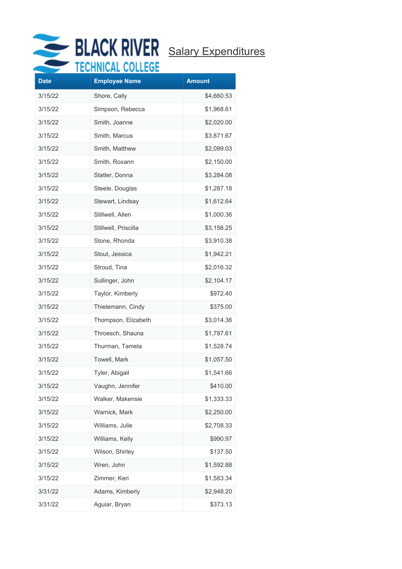

| <b>Date</b> | .<br><b>Employee Name</b> | <b>Amount</b> |
|-------------|---------------------------|---------------|
| 3/15/22     | Shore, Cally              | \$4,660.53    |
| 3/15/22     | Simpson, Rebecca          | \$1,968.61    |
| 3/15/22     | Smith, Joanne             | \$2,020.00    |
| 3/15/22     | Smith, Marcus             | \$3,871.67    |
| 3/15/22     | Smith, Matthew            | \$2,099.03    |
| 3/15/22     | Smith, Roxann             | \$2,150.00    |
| 3/15/22     | Statler, Donna            | \$3,284.08    |
| 3/15/22     | Steele, Douglas           | \$1,287.18    |
| 3/15/22     | Stewart, Lindsay          | \$1,612.64    |
| 3/15/22     | Stillwell, Allen          | \$1,000.36    |
| 3/15/22     | Stillwell, Priscilla      | \$3,156.25    |
| 3/15/22     | Stone, Rhonda             | \$3,910.38    |
| 3/15/22     | Stout, Jessica            | \$1,942.21    |
| 3/15/22     | Stroud, Tina              | \$2,016.32    |
| 3/15/22     | Sullinger, John           | \$2,104.17    |
| 3/15/22     | Taylor, Kimberly          | \$972.40      |
| 3/15/22     | Thielemann, Cindy         | \$375.00      |
| 3/15/22     | Thompson, Elizabeth       | \$3,014.36    |
| 3/15/22     | Throesch, Shauna          | \$1,787.61    |
| 3/15/22     | Thurman, Tamela           | \$1,528.74    |
| 3/15/22     | Towell, Mark              | \$1,057.50    |
| 3/15/22     | Tyler, Abigail            | \$1,541.66    |
| 3/15/22     | Vaughn, Jennifer          | \$410.00      |
| 3/15/22     | Walker, Makensie          | \$1,333.33    |
| 3/15/22     | Warnick, Mark             | \$2,250.00    |
| 3/15/22     | Williams, Julie           | \$2,708.33    |
| 3/15/22     | Williams, Kelly           | \$990.97      |
| 3/15/22     | Wilson, Shirley           | \$137.50      |
| 3/15/22     | Wren, John                | \$1,592.88    |
| 3/15/22     | Zimmer, Keri              | \$1,583.34    |
| 3/31/22     | Adams, Kimberly           | \$2,948.20    |
| 3/31/22     | Aguiar, Bryan             | \$373.13      |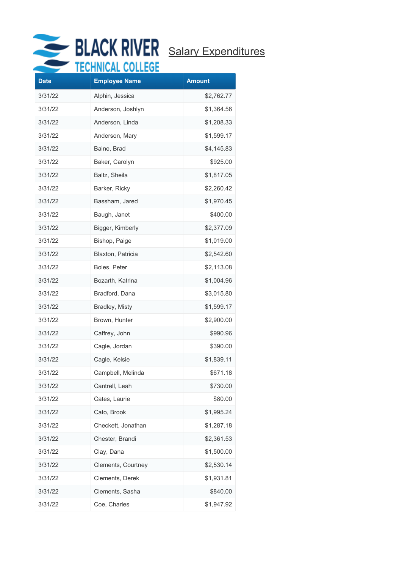

| <b>Date</b><br><b>Employee Name</b><br><b>Amount</b><br>3/31/22<br>Alphin, Jessica<br>\$2,762.77<br>3/31/22<br>Anderson, Joshlyn<br>\$1,364.56<br>3/31/22<br>Anderson, Linda<br>\$1,208.33<br>3/31/22<br>Anderson, Mary<br>\$1,599.17<br>3/31/22<br>Baine, Brad<br>\$4,145.83<br>3/31/22<br>Baker, Carolyn<br>\$925.00<br>3/31/22<br>Baltz, Sheila<br>\$1,817.05<br>3/31/22<br>Barker, Ricky<br>\$2,260.42<br>3/31/22<br>Bassham, Jared<br>\$1,970.45<br>3/31/22<br>Baugh, Janet<br>\$400.00<br>3/31/22<br>Bigger, Kimberly<br>\$2,377.09<br>3/31/22<br>Bishop, Paige<br>\$1,019.00<br>3/31/22<br>Blaxton, Patricia<br>\$2,542.60<br>3/31/22<br>Boles, Peter<br>\$2,113.08<br>3/31/22<br>Bozarth, Katrina<br>\$1,004.96<br>3/31/22<br>Bradford, Dana<br>\$3,015.80<br>3/31/22<br>Bradley, Misty<br>\$1,599.17<br>3/31/22<br>Brown, Hunter<br>\$2,900.00<br>3/31/22<br>Caffrey, John<br>\$990.96<br>3/31/22<br>\$390.00<br>Cagle, Jordan<br>3/31/22<br>Cagle, Kelsie<br>\$1,839.11<br>3/31/22<br>\$671.18<br>Campbell, Melinda<br>3/31/22<br>Cantrell, Leah<br>\$730.00 |
|------------------------------------------------------------------------------------------------------------------------------------------------------------------------------------------------------------------------------------------------------------------------------------------------------------------------------------------------------------------------------------------------------------------------------------------------------------------------------------------------------------------------------------------------------------------------------------------------------------------------------------------------------------------------------------------------------------------------------------------------------------------------------------------------------------------------------------------------------------------------------------------------------------------------------------------------------------------------------------------------------------------------------------------------------------------------|
|                                                                                                                                                                                                                                                                                                                                                                                                                                                                                                                                                                                                                                                                                                                                                                                                                                                                                                                                                                                                                                                                        |
|                                                                                                                                                                                                                                                                                                                                                                                                                                                                                                                                                                                                                                                                                                                                                                                                                                                                                                                                                                                                                                                                        |
|                                                                                                                                                                                                                                                                                                                                                                                                                                                                                                                                                                                                                                                                                                                                                                                                                                                                                                                                                                                                                                                                        |
|                                                                                                                                                                                                                                                                                                                                                                                                                                                                                                                                                                                                                                                                                                                                                                                                                                                                                                                                                                                                                                                                        |
|                                                                                                                                                                                                                                                                                                                                                                                                                                                                                                                                                                                                                                                                                                                                                                                                                                                                                                                                                                                                                                                                        |
|                                                                                                                                                                                                                                                                                                                                                                                                                                                                                                                                                                                                                                                                                                                                                                                                                                                                                                                                                                                                                                                                        |
|                                                                                                                                                                                                                                                                                                                                                                                                                                                                                                                                                                                                                                                                                                                                                                                                                                                                                                                                                                                                                                                                        |
|                                                                                                                                                                                                                                                                                                                                                                                                                                                                                                                                                                                                                                                                                                                                                                                                                                                                                                                                                                                                                                                                        |
|                                                                                                                                                                                                                                                                                                                                                                                                                                                                                                                                                                                                                                                                                                                                                                                                                                                                                                                                                                                                                                                                        |
|                                                                                                                                                                                                                                                                                                                                                                                                                                                                                                                                                                                                                                                                                                                                                                                                                                                                                                                                                                                                                                                                        |
|                                                                                                                                                                                                                                                                                                                                                                                                                                                                                                                                                                                                                                                                                                                                                                                                                                                                                                                                                                                                                                                                        |
|                                                                                                                                                                                                                                                                                                                                                                                                                                                                                                                                                                                                                                                                                                                                                                                                                                                                                                                                                                                                                                                                        |
|                                                                                                                                                                                                                                                                                                                                                                                                                                                                                                                                                                                                                                                                                                                                                                                                                                                                                                                                                                                                                                                                        |
|                                                                                                                                                                                                                                                                                                                                                                                                                                                                                                                                                                                                                                                                                                                                                                                                                                                                                                                                                                                                                                                                        |
|                                                                                                                                                                                                                                                                                                                                                                                                                                                                                                                                                                                                                                                                                                                                                                                                                                                                                                                                                                                                                                                                        |
|                                                                                                                                                                                                                                                                                                                                                                                                                                                                                                                                                                                                                                                                                                                                                                                                                                                                                                                                                                                                                                                                        |
|                                                                                                                                                                                                                                                                                                                                                                                                                                                                                                                                                                                                                                                                                                                                                                                                                                                                                                                                                                                                                                                                        |
|                                                                                                                                                                                                                                                                                                                                                                                                                                                                                                                                                                                                                                                                                                                                                                                                                                                                                                                                                                                                                                                                        |
|                                                                                                                                                                                                                                                                                                                                                                                                                                                                                                                                                                                                                                                                                                                                                                                                                                                                                                                                                                                                                                                                        |
|                                                                                                                                                                                                                                                                                                                                                                                                                                                                                                                                                                                                                                                                                                                                                                                                                                                                                                                                                                                                                                                                        |
|                                                                                                                                                                                                                                                                                                                                                                                                                                                                                                                                                                                                                                                                                                                                                                                                                                                                                                                                                                                                                                                                        |
|                                                                                                                                                                                                                                                                                                                                                                                                                                                                                                                                                                                                                                                                                                                                                                                                                                                                                                                                                                                                                                                                        |
|                                                                                                                                                                                                                                                                                                                                                                                                                                                                                                                                                                                                                                                                                                                                                                                                                                                                                                                                                                                                                                                                        |
|                                                                                                                                                                                                                                                                                                                                                                                                                                                                                                                                                                                                                                                                                                                                                                                                                                                                                                                                                                                                                                                                        |
| 3/31/22<br>Cates, Laurie<br>\$80.00                                                                                                                                                                                                                                                                                                                                                                                                                                                                                                                                                                                                                                                                                                                                                                                                                                                                                                                                                                                                                                    |
| Cato, Brook<br>3/31/22<br>\$1,995.24                                                                                                                                                                                                                                                                                                                                                                                                                                                                                                                                                                                                                                                                                                                                                                                                                                                                                                                                                                                                                                   |
| 3/31/22<br>Checkett, Jonathan<br>\$1,287.18                                                                                                                                                                                                                                                                                                                                                                                                                                                                                                                                                                                                                                                                                                                                                                                                                                                                                                                                                                                                                            |
| Chester, Brandi<br>3/31/22<br>\$2,361.53                                                                                                                                                                                                                                                                                                                                                                                                                                                                                                                                                                                                                                                                                                                                                                                                                                                                                                                                                                                                                               |
| \$1,500.00<br>3/31/22<br>Clay, Dana                                                                                                                                                                                                                                                                                                                                                                                                                                                                                                                                                                                                                                                                                                                                                                                                                                                                                                                                                                                                                                    |
| 3/31/22<br>Clements, Courtney<br>\$2,530.14                                                                                                                                                                                                                                                                                                                                                                                                                                                                                                                                                                                                                                                                                                                                                                                                                                                                                                                                                                                                                            |
| 3/31/22<br>Clements, Derek<br>\$1,931.81                                                                                                                                                                                                                                                                                                                                                                                                                                                                                                                                                                                                                                                                                                                                                                                                                                                                                                                                                                                                                               |
|                                                                                                                                                                                                                                                                                                                                                                                                                                                                                                                                                                                                                                                                                                                                                                                                                                                                                                                                                                                                                                                                        |
| Clements, Sasha<br>3/31/22<br>\$840.00<br>3/31/22<br>Coe, Charles<br>\$1,947.92                                                                                                                                                                                                                                                                                                                                                                                                                                                                                                                                                                                                                                                                                                                                                                                                                                                                                                                                                                                        |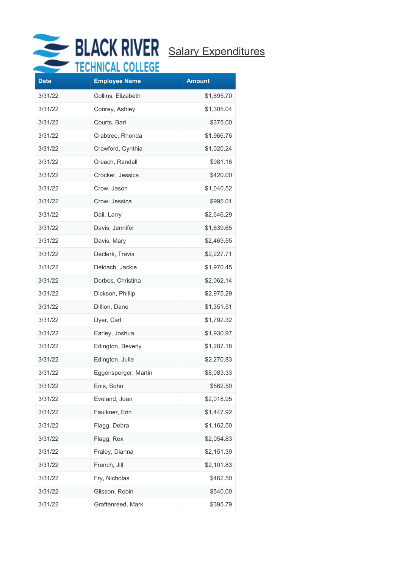

|             | $1111 \times 11$     |               |
|-------------|----------------------|---------------|
| <b>Date</b> | <b>Employee Name</b> | <b>Amount</b> |
| 3/31/22     | Collins, Elizabeth   | \$1,695.70    |
| 3/31/22     | Conrey, Ashley       | \$1,305.04    |
| 3/31/22     | Courts, Bari         | \$375.00      |
| 3/31/22     | Crabtree, Rhonda     | \$1,966.76    |
| 3/31/22     | Crawford, Cynthia    | \$1,020.24    |
| 3/31/22     | Creach, Randall      | \$981.16      |
| 3/31/22     | Crocker, Jessica     | \$420.00      |
| 3/31/22     | Crow, Jason          | \$1,040.52    |
| 3/31/22     | Crow, Jessica        | \$995.01      |
| 3/31/22     | Dail, Larry          | \$2,646.29    |
| 3/31/22     | Davis, Jennifer      | \$1,639.65    |
| 3/31/22     | Davis, Mary          | \$2,469.55    |
| 3/31/22     | Declerk, Travis      | \$2,227.71    |
| 3/31/22     | Deloach, Jackie      | \$1,970.45    |
| 3/31/22     | Derbes, Christina    | \$2,062.14    |
| 3/31/22     | Dickson, Phillip     | \$2,975.29    |
| 3/31/22     | Dillion, Dane        | \$1,351.51    |
| 3/31/22     | Dyer, Carl           | \$1,792.32    |
| 3/31/22     | Earley, Joshua       | \$1,930.97    |
| 3/31/22     | Edington, Beverly    | \$1,287.18    |
| 3/31/22     | Edington, Julie      | \$2,270.83    |
| 3/31/22     | Eggensperger, Martin | \$8,083.33    |
| 3/31/22     | Enis, Sohn           | \$562.50      |
| 3/31/22     | Eveland, Joan        | \$2,018.95    |
| 3/31/22     | Faulkner, Erin       | \$1,447.92    |
| 3/31/22     | Flagg, Debra         | \$1,162.50    |
| 3/31/22     | Flagg, Rex           | \$2,054.83    |
| 3/31/22     | Fraley, Dianna       | \$2,151.39    |
| 3/31/22     | French, Jill         | \$2,101.83    |
| 3/31/22     | Fry, Nicholas        | \$462.50      |
| 3/31/22     | Glisson, Robin       | \$540.00      |
| 3/31/22     | Graftenreed, Mark    | \$395.79      |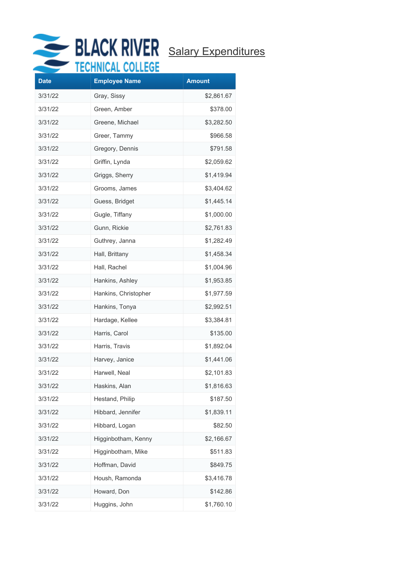

| <b>Date</b> | <br><b>Employee Name</b> | <b>Amount</b> |
|-------------|--------------------------|---------------|
| 3/31/22     | Gray, Sissy              | \$2,861.67    |
| 3/31/22     | Green, Amber             | \$378.00      |
| 3/31/22     | Greene, Michael          | \$3,282.50    |
| 3/31/22     | Greer, Tammy             | \$966.58      |
| 3/31/22     | Gregory, Dennis          | \$791.58      |
| 3/31/22     | Griffin, Lynda           | \$2,059.62    |
| 3/31/22     | Griggs, Sherry           | \$1,419.94    |
| 3/31/22     | Grooms, James            | \$3,404.62    |
| 3/31/22     | Guess, Bridget           | \$1,445.14    |
| 3/31/22     | Gugle, Tiffany           | \$1,000.00    |
| 3/31/22     | Gunn, Rickie             | \$2,761.83    |
| 3/31/22     | Guthrey, Janna           | \$1,282.49    |
| 3/31/22     | Hall, Brittany           | \$1,458.34    |
| 3/31/22     | Hall, Rachel             | \$1,004.96    |
| 3/31/22     | Hankins, Ashley          | \$1,953.85    |
| 3/31/22     | Hankins, Christopher     | \$1,977.59    |
| 3/31/22     | Hankins, Tonya           | \$2,992.51    |
| 3/31/22     | Hardage, Kellee          | \$3,384.81    |
| 3/31/22     | Harris, Carol            | \$135.00      |
| 3/31/22     | Harris, Travis           | \$1,892.04    |
| 3/31/22     | Harvey, Janice           | \$1,441.06    |
| 3/31/22     | Harwell, Neal            | \$2,101.83    |
| 3/31/22     | Haskins, Alan            | \$1,816.63    |
| 3/31/22     | Hestand, Philip          | \$187.50      |
| 3/31/22     | Hibbard, Jennifer        | \$1,839.11    |
| 3/31/22     | Hibbard, Logan           | \$82.50       |
| 3/31/22     | Higginbotham, Kenny      | \$2,166.67    |
| 3/31/22     | Higginbotham, Mike       | \$511.83      |
| 3/31/22     | Hoffman, David           | \$849.75      |
| 3/31/22     | Housh, Ramonda           | \$3,416.78    |
| 3/31/22     | Howard, Don              | \$142.86      |
| 3/31/22     | Huggins, John            | \$1,760.10    |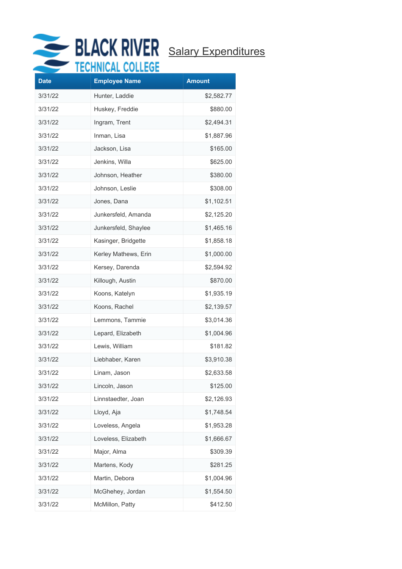

| <b>Date</b> | .<br><b>Employee Name</b> | <b>Amount</b> |
|-------------|---------------------------|---------------|
| 3/31/22     | Hunter, Laddie            | \$2,582.77    |
| 3/31/22     | Huskey, Freddie           | \$880.00      |
| 3/31/22     | Ingram, Trent             | \$2,494.31    |
| 3/31/22     | Inman, Lisa               | \$1,887.96    |
| 3/31/22     | Jackson, Lisa             | \$165.00      |
| 3/31/22     | Jenkins, Willa            | \$625.00      |
| 3/31/22     | Johnson, Heather          | \$380.00      |
| 3/31/22     | Johnson, Leslie           | \$308.00      |
| 3/31/22     | Jones, Dana               | \$1,102.51    |
| 3/31/22     | Junkersfeld, Amanda       | \$2,125.20    |
| 3/31/22     | Junkersfeld, Shaylee      | \$1,465.16    |
| 3/31/22     | Kasinger, Bridgette       | \$1,858.18    |
| 3/31/22     | Kerley Mathews, Erin      | \$1,000.00    |
| 3/31/22     | Kersey, Darenda           | \$2,594.92    |
| 3/31/22     | Killough, Austin          | \$870.00      |
| 3/31/22     | Koons, Katelyn            | \$1,935.19    |
| 3/31/22     | Koons, Rachel             | \$2,139.57    |
| 3/31/22     | Lemmons, Tammie           | \$3,014.36    |
| 3/31/22     | Lepard, Elizabeth         | \$1,004.96    |
| 3/31/22     | Lewis, William            | \$181.82      |
| 3/31/22     | Liebhaber, Karen          | \$3,910.38    |
| 3/31/22     | Linam, Jason              | \$2,633.58    |
| 3/31/22     | Lincoln, Jason            | \$125.00      |
| 3/31/22     | Linnstaedter, Joan        | \$2,126.93    |
| 3/31/22     | Lloyd, Aja                | \$1,748.54    |
| 3/31/22     | Loveless, Angela          | \$1,953.28    |
| 3/31/22     | Loveless, Elizabeth       | \$1,666.67    |
| 3/31/22     | Major, Alma               | \$309.39      |
| 3/31/22     | Martens, Kody             | \$281.25      |
| 3/31/22     | Martin, Debora            | \$1,004.96    |
| 3/31/22     | McGhehey, Jordan          | \$1,554.50    |
| 3/31/22     | McMillon, Patty           | \$412.50      |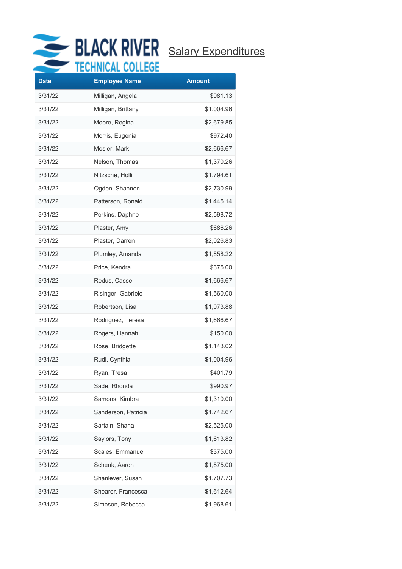

| <b>Date</b> | <b>Employee Name</b> | <b>Amount</b> |
|-------------|----------------------|---------------|
| 3/31/22     | Milligan, Angela     | \$981.13      |
| 3/31/22     | Milligan, Brittany   | \$1,004.96    |
| 3/31/22     | Moore, Regina        | \$2,679.85    |
| 3/31/22     | Morris, Eugenia      | \$972.40      |
| 3/31/22     | Mosier, Mark         | \$2,666.67    |
| 3/31/22     | Nelson, Thomas       | \$1,370.26    |
| 3/31/22     | Nitzsche, Holli      | \$1,794.61    |
| 3/31/22     | Ogden, Shannon       | \$2,730.99    |
| 3/31/22     | Patterson, Ronald    | \$1,445.14    |
| 3/31/22     | Perkins, Daphne      | \$2,598.72    |
| 3/31/22     | Plaster, Amy         | \$686.26      |
| 3/31/22     | Plaster, Darren      | \$2,026.83    |
| 3/31/22     | Plumley, Amanda      | \$1,858.22    |
| 3/31/22     | Price, Kendra        | \$375.00      |
| 3/31/22     | Redus, Casse         | \$1,666.67    |
| 3/31/22     | Risinger, Gabriele   | \$1,560.00    |
| 3/31/22     | Robertson, Lisa      | \$1,073.88    |
| 3/31/22     | Rodriguez, Teresa    | \$1,666.67    |
| 3/31/22     | Rogers, Hannah       | \$150.00      |
| 3/31/22     | Rose, Bridgette      | \$1,143.02    |
| 3/31/22     | Rudi, Cynthia        | \$1,004.96    |
| 3/31/22     | Rvan, Tresa          | \$401.79      |
| 3/31/22     | Sade, Rhonda         | \$990.97      |
| 3/31/22     | Samons, Kimbra       | \$1,310.00    |
| 3/31/22     | Sanderson, Patricia  | \$1,742.67    |
| 3/31/22     | Sartain, Shana       | \$2,525.00    |
| 3/31/22     | Saylors, Tony        | \$1,613.82    |
| 3/31/22     | Scales, Emmanuel     | \$375.00      |
| 3/31/22     | Schenk, Aaron        | \$1,875.00    |
| 3/31/22     | Shanlever, Susan     | \$1,707.73    |
| 3/31/22     | Shearer, Francesca   | \$1,612.64    |
| 3/31/22     | Simpson, Rebecca     | \$1,968.61    |